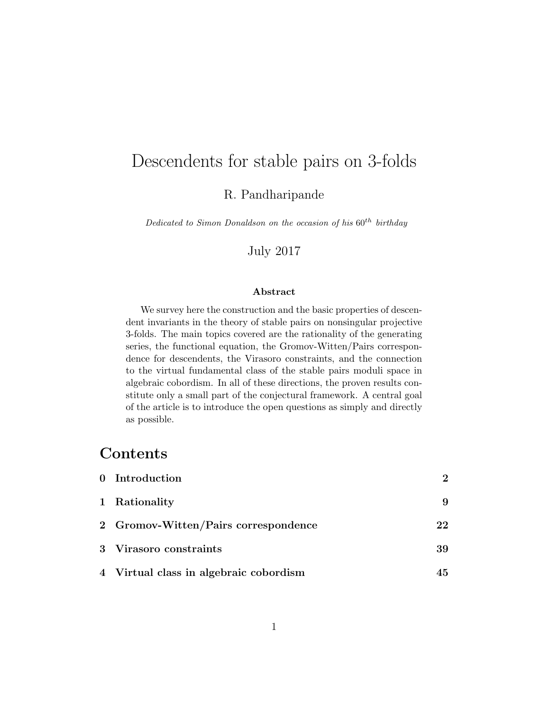# Descendents for stable pairs on 3-folds

R. Pandharipande

Dedicated to Simon Donaldson on the occasion of his  $60^{th}$  birthday

July 2017

#### Abstract

We survey here the construction and the basic properties of descendent invariants in the theory of stable pairs on nonsingular projective 3-folds. The main topics covered are the rationality of the generating series, the functional equation, the Gromov-Witten/Pairs correspondence for descendents, the Virasoro constraints, and the connection to the virtual fundamental class of the stable pairs moduli space in algebraic cobordism. In all of these directions, the proven results constitute only a small part of the conjectural framework. A central goal of the article is to introduce the open questions as simply and directly as possible.

## **Contents**

| 0 Introduction                         | $2^{\circ}$ |
|----------------------------------------|-------------|
| 1 Rationality                          |             |
| 2 Gromov-Witten/Pairs correspondence   | 22          |
| 3 Virasoro constraints                 | 39          |
| 4 Virtual class in algebraic cobordism | 45          |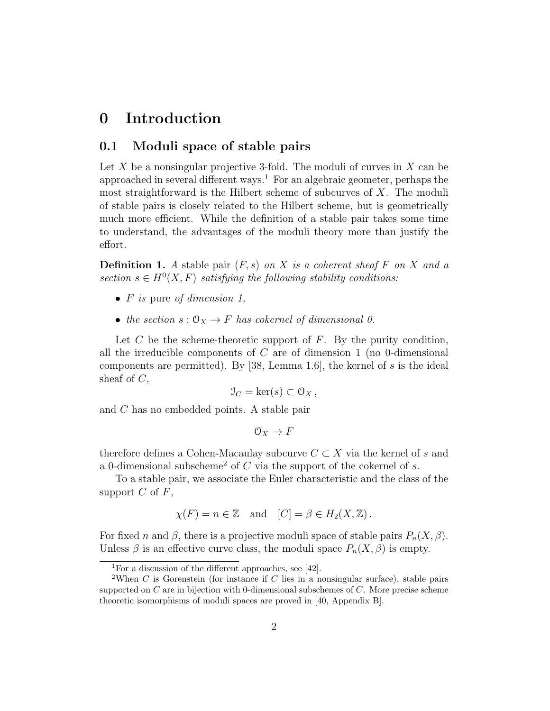## 0 Introduction

#### 0.1 Moduli space of stable pairs

Let  $X$  be a nonsingular projective 3-fold. The moduli of curves in  $X$  can be approached in several different ways.<sup>1</sup> For an algebraic geometer, perhaps the most straightforward is the Hilbert scheme of subcurves of  $X$ . The moduli of stable pairs is closely related to the Hilbert scheme, but is geometrically much more efficient. While the definition of a stable pair takes some time to understand, the advantages of the moduli theory more than justify the effort.

**Definition 1.** A stable pair  $(F, s)$  on X is a coherent sheaf F on X and a section  $s \in H^0(X, F)$  satisfying the following stability conditions:

- $F$  is pure of dimension 1,
- the section  $s: \mathcal{O}_X \to F$  has cokernel of dimensional 0.

Let  $C$  be the scheme-theoretic support of  $F$ . By the purity condition, all the irreducible components of  $C$  are of dimension 1 (no 0-dimensional components are permitted). By [38, Lemma 1.6], the kernel of s is the ideal sheaf of  $C$ ,

$$
\mathfrak{I}_C = \ker(s) \subset \mathfrak{O}_X \,,
$$

and C has no embedded points. A stable pair

$$
\mathcal{O}_X \to F
$$

therefore defines a Cohen-Macaulay subcurve  $C \subset X$  via the kernel of s and a 0-dimensional subscheme<sup>2</sup> of C via the support of the cokernel of s.

To a stable pair, we associate the Euler characteristic and the class of the support  $C$  of  $F$ ,

$$
\chi(F) = n \in \mathbb{Z}
$$
 and  $[C] = \beta \in H_2(X, \mathbb{Z})$ .

For fixed n and  $\beta$ , there is a projective moduli space of stable pairs  $P_n(X, \beta)$ . Unless  $\beta$  is an effective curve class, the moduli space  $P_n(X, \beta)$  is empty.

<sup>&</sup>lt;sup>1</sup>For a discussion of the different approaches, see [42].

<sup>&</sup>lt;sup>2</sup>When C is Gorenstein (for instance if C lies in a nonsingular surface), stable pairs supported on  $C$  are in bijection with 0-dimensional subschemes of  $C$ . More precise scheme theoretic isomorphisms of moduli spaces are proved in [40, Appendix B].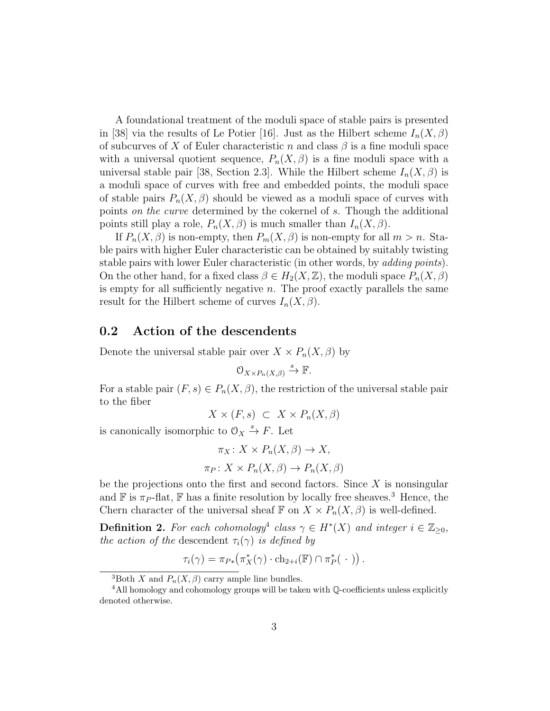A foundational treatment of the moduli space of stable pairs is presented in [38] via the results of Le Potier [16]. Just as the Hilbert scheme  $I_n(X,\beta)$ of subcurves of X of Euler characteristic n and class  $\beta$  is a fine moduli space with a universal quotient sequence,  $P_n(X, \beta)$  is a fine moduli space with a universal stable pair [38, Section 2.3]. While the Hilbert scheme  $I_n(X,\beta)$  is a moduli space of curves with free and embedded points, the moduli space of stable pairs  $P_n(X, \beta)$  should be viewed as a moduli space of curves with points on the curve determined by the cokernel of s. Though the additional points still play a role,  $P_n(X, \beta)$  is much smaller than  $I_n(X, \beta)$ .

If  $P_n(X, \beta)$  is non-empty, then  $P_m(X, \beta)$  is non-empty for all  $m > n$ . Stable pairs with higher Euler characteristic can be obtained by suitably twisting stable pairs with lower Euler characteristic (in other words, by *adding points*). On the other hand, for a fixed class  $\beta \in H_2(X, \mathbb{Z})$ , the moduli space  $P_n(X, \beta)$ is empty for all sufficiently negative  $n$ . The proof exactly parallels the same result for the Hilbert scheme of curves  $I_n(X, \beta)$ .

### 0.2 Action of the descendents

Denote the universal stable pair over  $X \times P_n(X, \beta)$  by

$$
O_{X \times P_n(X,\beta)} \xrightarrow{s} \mathbb{F}.
$$

For a stable pair  $(F, s) \in P_n(X, \beta)$ , the restriction of the universal stable pair to the fiber

$$
X \times (F, s) \subset X \times P_n(X, \beta)
$$

is canonically isomorphic to  $\mathcal{O}_X \xrightarrow{s} F$ . Let

$$
\pi_X: X \times P_n(X, \beta) \to X,
$$
  

$$
\pi_P: X \times P_n(X, \beta) \to P_n(X, \beta)
$$

be the projections onto the first and second factors. Since  $X$  is nonsingular and  $\mathbb F$  is  $\pi_P$ -flat,  $\mathbb F$  has a finite resolution by locally free sheaves.<sup>3</sup> Hence, the Chern character of the universal sheaf  $\mathbb F$  on  $X \times P_n(X, \beta)$  is well-defined.

**Definition 2.** For each cohomology<sup>4</sup> class  $\gamma \in H^*(X)$  and integer  $i \in \mathbb{Z}_{\geq 0}$ , the action of the descendent  $\tau_i(\gamma)$  is defined by

$$
\tau_i(\gamma) = \pi_{P*}(\pi_X^*(\gamma) \cdot \text{ch}_{2+i}(\mathbb{F}) \cap \pi_P^*(\cdot)).
$$

<sup>&</sup>lt;sup>3</sup>Both X and  $P_n(X, \beta)$  carry ample line bundles.

<sup>&</sup>lt;sup>4</sup>All homology and cohomology groups will be taken with  $\mathbb{O}$ -coefficients unless explicitly denoted otherwise.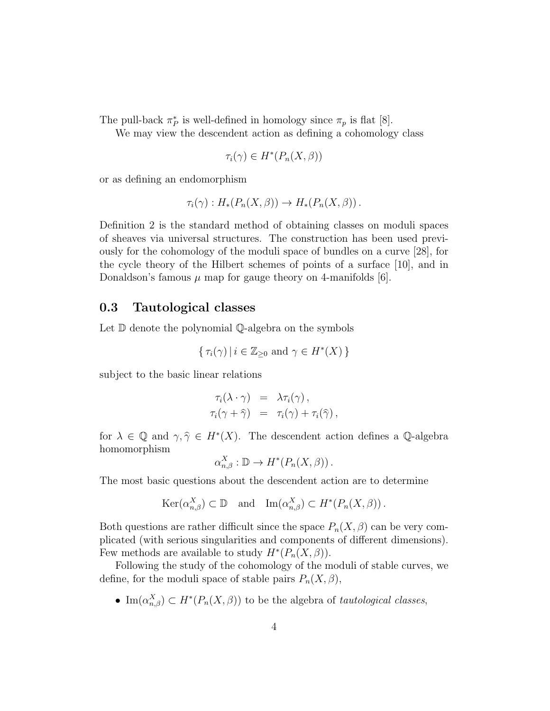The pull-back  $\pi_P^*$  is well-defined in homology since  $\pi_p$  is flat [8].

We may view the descendent action as defining a cohomology class

$$
\tau_i(\gamma) \in H^*(P_n(X, \beta))
$$

or as defining an endomorphism

$$
\tau_i(\gamma) : H_*(P_n(X, \beta)) \to H_*(P_n(X, \beta)).
$$

Definition 2 is the standard method of obtaining classes on moduli spaces of sheaves via universal structures. The construction has been used previously for the cohomology of the moduli space of bundles on a curve [28], for the cycle theory of the Hilbert schemes of points of a surface [10], and in Donaldson's famous  $\mu$  map for gauge theory on 4-manifolds [6].

#### 0.3 Tautological classes

Let D denote the polynomial Q-algebra on the symbols

$$
\{\tau_i(\gamma) \mid i \in \mathbb{Z}_{\geq 0} \text{ and } \gamma \in H^*(X)\}
$$

subject to the basic linear relations

$$
\tau_i(\lambda \cdot \gamma) = \lambda \tau_i(\gamma), \n\tau_i(\gamma + \widehat{\gamma}) = \tau_i(\gamma) + \tau_i(\widehat{\gamma}),
$$

for  $\lambda \in \mathbb{Q}$  and  $\gamma, \hat{\gamma} \in H^*(X)$ . The descendent action defines a  $\mathbb{Q}$ -algebra homomorphism  $\overline{\mathbf{x}}$ 

$$
\alpha_{n,\beta}^X : \mathbb{D} \to H^*(P_n(X,\beta)).
$$

The most basic questions about the descendent action are to determine

$$
\text{Ker}(\alpha_{n,\beta}^X) \subset \mathbb{D} \quad \text{and} \quad \text{Im}(\alpha_{n,\beta}^X) \subset H^*(P_n(X,\beta)).
$$

Both questions are rather difficult since the space  $P_n(X, \beta)$  can be very complicated (with serious singularities and components of different dimensions). Few methods are available to study  $H^*(P_n(X, \beta)).$ 

Following the study of the cohomology of the moduli of stable curves, we define, for the moduli space of stable pairs  $P_n(X, \beta)$ ,

• Im $(\alpha_{n,\beta}^X) \subset H^*(P_n(X,\beta))$  to be the algebra of *tautological classes*,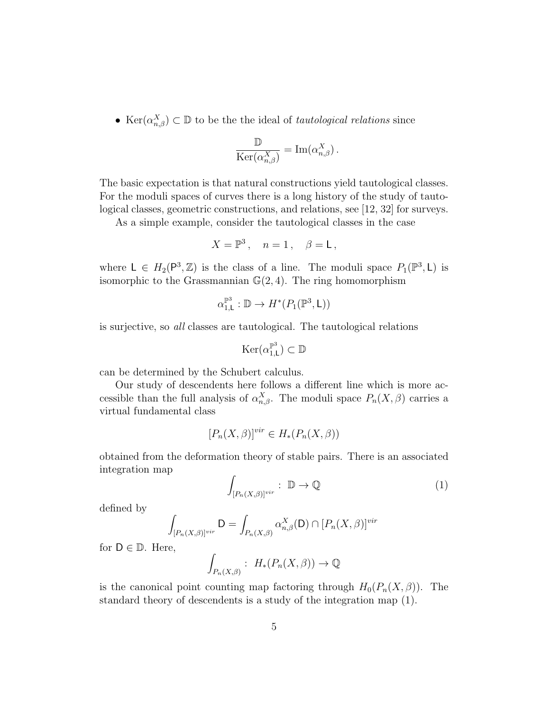• Ker $(\alpha_{n,\beta}^X) \subset \mathbb{D}$  to be the the ideal of *tautological relations* since

$$
\frac{\mathbb{D}}{\text{Ker}(\alpha_{n,\beta}^X)} = \text{Im}(\alpha_{n,\beta}^X).
$$

The basic expectation is that natural constructions yield tautological classes. For the moduli spaces of curves there is a long history of the study of tautological classes, geometric constructions, and relations, see [12, 32] for surveys.

As a simple example, consider the tautological classes in the case

$$
X = \mathbb{P}^3 \,, \quad n = 1 \,, \quad \beta = \mathsf{L} \,,
$$

where  $L \in H_2(\mathsf{P}^3, \mathbb{Z})$  is the class of a line. The moduli space  $P_1(\mathbb{P}^3, L)$  is isomorphic to the Grassmannian  $\mathbb{G}(2,4)$ . The ring homomorphism

$$
\alpha_{1,\mathsf{L}}^{\mathbb{P}^3} : \mathbb{D} \to H^*(P_1(\mathbb{P}^3, \mathsf{L}))
$$

is surjective, so all classes are tautological. The tautological relations

$$
\mathrm{Ker}(\alpha_{1,\mathsf{L}}^{\mathbb{P}^3})\subset \mathbb{D}
$$

can be determined by the Schubert calculus.

Our study of descendents here follows a different line which is more accessible than the full analysis of  $\alpha_{n,\beta}^X$ . The moduli space  $P_n(X,\beta)$  carries a virtual fundamental class

$$
[P_n(X,\beta)]^{vir} \in H_*(P_n(X,\beta))
$$

obtained from the deformation theory of stable pairs. There is an associated integration map

$$
\int_{[P_n(X,\beta)]^{vir}} : \mathbb{D} \to \mathbb{Q}
$$
 (1)

defined by

$$
\int_{[P_n(X,\beta)]^{vir}} \mathsf{D} = \int_{P_n(X,\beta)} \alpha_{n,\beta}^X(\mathsf{D}) \cap [P_n(X,\beta)]^{vir}
$$

for  $D \in \mathbb{D}$ . Here,

$$
\int_{P_n(X,\beta)} : H_*(P_n(X,\beta)) \to \mathbb{Q}
$$

is the canonical point counting map factoring through  $H_0(P_n(X, \beta))$ . The standard theory of descendents is a study of the integration map (1).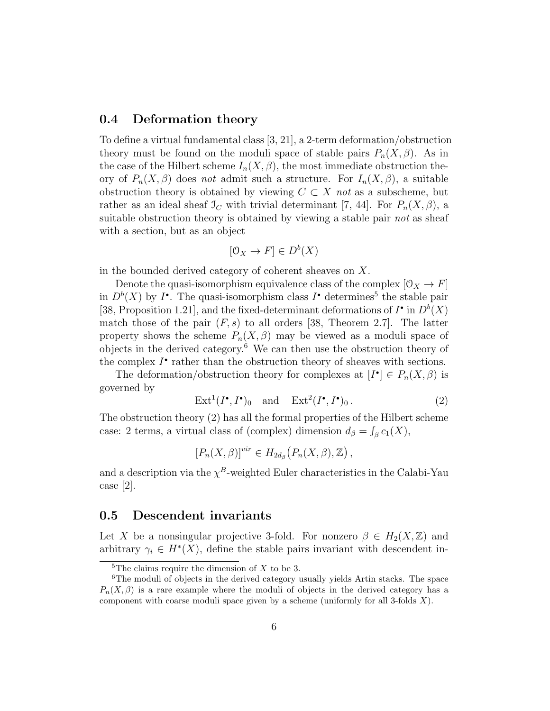#### 0.4 Deformation theory

To define a virtual fundamental class [3, 21], a 2-term deformation/obstruction theory must be found on the moduli space of stable pairs  $P_n(X, \beta)$ . As in the case of the Hilbert scheme  $I_n(X, \beta)$ , the most immediate obstruction theory of  $P_n(X, \beta)$  does not admit such a structure. For  $I_n(X, \beta)$ , a suitable obstruction theory is obtained by viewing  $C \subset X$  not as a subscheme, but rather as an ideal sheaf  $\mathcal{I}_C$  with trivial determinant [7, 44]. For  $P_n(X,\beta)$ , a suitable obstruction theory is obtained by viewing a stable pair not as sheaf with a section, but as an object

$$
[\mathcal{O}_X \to F] \in D^b(X)
$$

in the bounded derived category of coherent sheaves on X.

Denote the quasi-isomorphism equivalence class of the complex  $[0_X \rightarrow F]$ in  $D^b(X)$  by  $I^{\bullet}$ . The quasi-isomorphism class  $I^{\bullet}$  determines<sup>5</sup> the stable pair [38, Proposition 1.21], and the fixed-determinant deformations of  $I^{\bullet}$  in  $D^b(X)$ match those of the pair  $(F, s)$  to all orders [38, Theorem 2.7]. The latter property shows the scheme  $P_n(X, \beta)$  may be viewed as a moduli space of objects in the derived category.<sup>6</sup> We can then use the obstruction theory of the complex  $I^{\bullet}$  rather than the obstruction theory of sheaves with sections.

The deformation/obstruction theory for complexes at  $[I^{\bullet}] \in P_n(X, \beta)$  is governed by

$$
Ext1(I•, I•)0 and Ext2(I•, I•)0.
$$
 (2)

The obstruction theory (2) has all the formal properties of the Hilbert scheme case: 2 terms, a virtual class of (complex) dimension  $d_{\beta} = \int_{\beta} c_1(X)$ ,

$$
[P_n(X,\beta)]^{vir} \in H_{2d_{\beta}}(P_n(X,\beta),\mathbb{Z}),
$$

and a description via the  $\chi^B$ -weighted Euler characteristics in the Calabi-Yau case [2].

#### 0.5 Descendent invariants

Let X be a nonsingular projective 3-fold. For nonzero  $\beta \in H_2(X,\mathbb{Z})$  and arbitrary  $\gamma_i \in H^*(X)$ , define the stable pairs invariant with descendent in-

<sup>&</sup>lt;sup>5</sup>The claims require the dimension of  $X$  to be 3.

<sup>&</sup>lt;sup>6</sup>The moduli of objects in the derived category usually yields Artin stacks. The space  $P_n(X, \beta)$  is a rare example where the moduli of objects in the derived category has a component with coarse moduli space given by a scheme (uniformly for all 3-folds  $X$ ).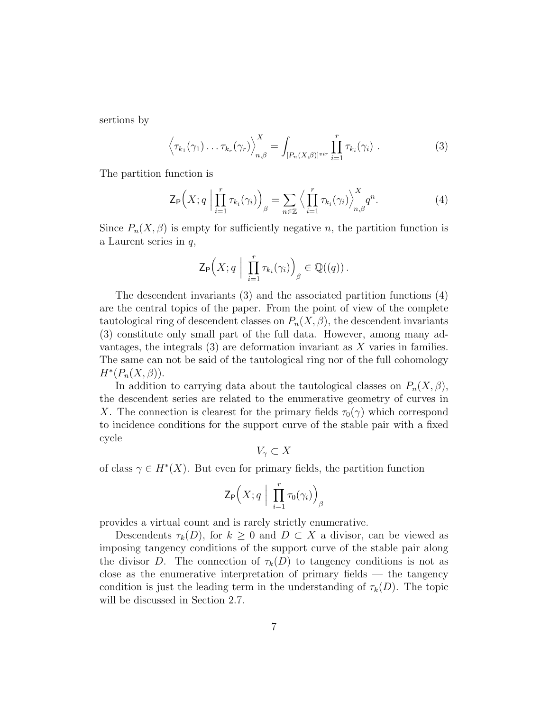sertions by

$$
\left\langle \tau_{k_1}(\gamma_1) \ldots \tau_{k_r}(\gamma_r) \right\rangle_{n,\beta}^X = \int_{[P_n(X,\beta)]^{vir}} \prod_{i=1}^r \tau_{k_i}(\gamma_i) . \tag{3}
$$

The partition function is

$$
\mathsf{Z}_{\mathsf{P}}\Big(X;q\Big|\prod_{i=1}^r\tau_{k_i}(\gamma_i)\Big)_{\beta}=\sum_{n\in\mathbb{Z}}\Big\langle\prod_{i=1}^r\tau_{k_i}(\gamma_i)\Big\rangle_{n,\beta}^Xq^n.\hspace{1cm} (4)
$$

Since  $P_n(X, \beta)$  is empty for sufficiently negative n, the partition function is a Laurent series in q,

$$
\mathsf{Z}_{\mathsf{P}}\Big(X; q \Big| \prod_{i=1}^r \tau_{k_i}(\gamma_i) \Big)_{\beta} \in \mathbb{Q}((q)).
$$

The descendent invariants (3) and the associated partition functions (4) are the central topics of the paper. From the point of view of the complete tautological ring of descendent classes on  $P_n(X, \beta)$ , the descendent invariants (3) constitute only small part of the full data. However, among many advantages, the integrals  $(3)$  are deformation invariant as X varies in families. The same can not be said of the tautological ring nor of the full cohomology  $H^*(P_n(X,\beta)).$ 

In addition to carrying data about the tautological classes on  $P_n(X,\beta)$ , the descendent series are related to the enumerative geometry of curves in X. The connection is clearest for the primary fields  $\tau_0(\gamma)$  which correspond to incidence conditions for the support curve of the stable pair with a fixed cycle

$$
V_{\gamma} \subset X
$$

of class  $\gamma \in H^*(X)$ . But even for primary fields, the partition function

$$
\mathsf{Z}_{\mathsf{P}}\Big(X;q\ \Big|\ \prod_{i=1}^r \tau_0(\gamma_i)\Big)_{\beta}
$$

provides a virtual count and is rarely strictly enumerative.

Descendents  $\tau_k(D)$ , for  $k \geq 0$  and  $D \subset X$  a divisor, can be viewed as imposing tangency conditions of the support curve of the stable pair along the divisor D. The connection of  $\tau_k(D)$  to tangency conditions is not as close as the enumerative interpretation of primary fields — the tangency condition is just the leading term in the understanding of  $\tau_k(D)$ . The topic will be discussed in Section 2.7.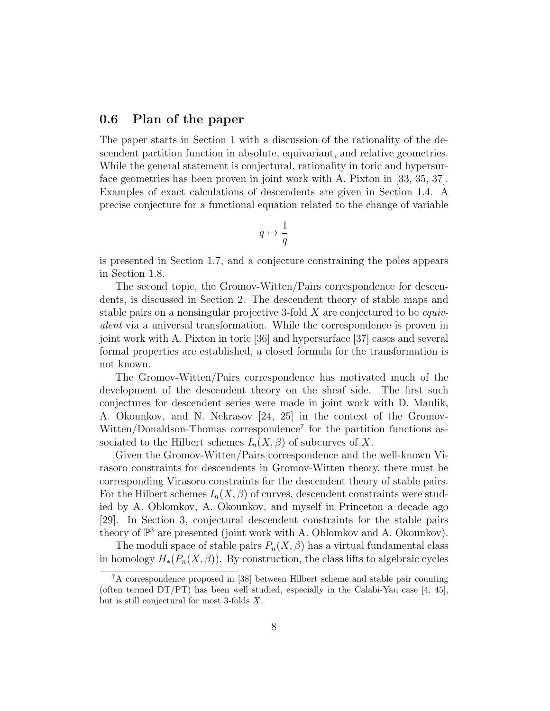#### 0.6 Plan of the paper

The paper starts in Section 1 with a discussion of the rationality of the descendent partition function in absolute, equivariant, and relative geometries. While the general statement is conjectural, rationality in toric and hypersurface geometries has been proven in joint work with A. Pixton in [33, 35, 37]. Examples of exact calculations of descendents are given in Section 1.4. A precise conjecture for a functional equation related to the change of variable

$$
q\mapsto \frac{1}{q}
$$

is presented in Section 1.7, and a conjecture constraining the poles appears in Section 1.8.

The second topic, the Gromov-Witten/Pairs correspondence for descendents, is discussed in Section 2. The descendent theory of stable maps and stable pairs on a nonsingular projective 3-fold  $X$  are conjectured to be *equiv*alent via a universal transformation. While the correspondence is proven in joint work with A. Pixton in toric [36] and hypersurface [37] cases and several formal properties are established, a closed formula for the transformation is not known.

The Gromov-Witten/Pairs correspondence has motivated much of the development of the descendent theory on the sheaf side. The first such conjectures for descendent series were made in joint work with D. Maulik, A. Okounkov, and N. Nekrasov [24, 25] in the context of the Gromov-Witten/Donaldson-Thomas correspondence<sup>7</sup> for the partition functions associated to the Hilbert schemes  $I_n(X, \beta)$  of subcurves of X.

Given the Gromov-Witten/Pairs correspondence and the well-known Virasoro constraints for descendents in Gromov-Witten theory, there must be corresponding Virasoro constraints for the descendent theory of stable pairs. For the Hilbert schemes  $I_n(X, \beta)$  of curves, descendent constraints were studied by A. Oblomkov, A. Okounkov, and myself in Princeton a decade ago [29]. In Section 3, conjectural descendent constraints for the stable pairs theory of  $\mathbb{P}^3$  are presented (joint work with A. Oblomkov and A. Okounkov).

The moduli space of stable pairs  $P_n(X, \beta)$  has a virtual fundamental class in homology  $H_*(P_n(X, \beta))$ . By construction, the class lifts to algebraic cycles

<sup>7</sup>A correspondence proposed in [38] between Hilbert scheme and stable pair counting (often termed DT/PT) has been well studied, especially in the Calabi-Yau case [4, 45], but is still conjectural for most 3-folds X.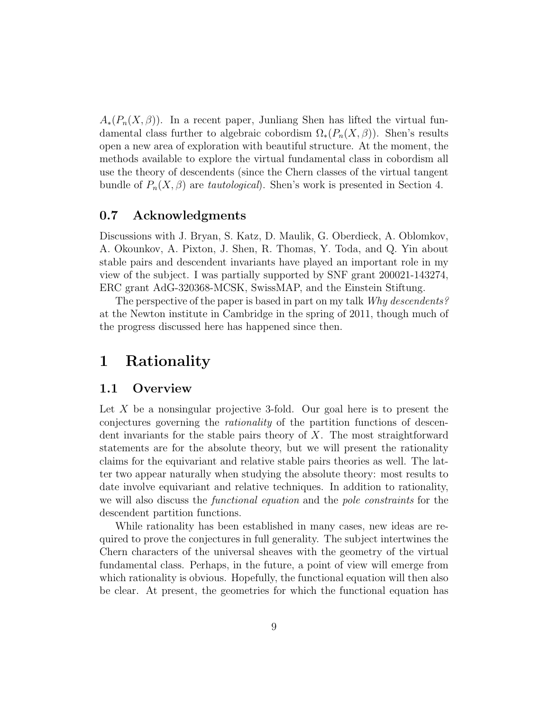$A_*(P_n(X, \beta))$ . In a recent paper, Junliang Shen has lifted the virtual fundamental class further to algebraic cobordism  $\Omega_*(P_n(X,\beta))$ . Shen's results open a new area of exploration with beautiful structure. At the moment, the methods available to explore the virtual fundamental class in cobordism all use the theory of descendents (since the Chern classes of the virtual tangent bundle of  $P_n(X, \beta)$  are tautological). Shen's work is presented in Section 4.

#### 0.7 Acknowledgments

Discussions with J. Bryan, S. Katz, D. Maulik, G. Oberdieck, A. Oblomkov, A. Okounkov, A. Pixton, J. Shen, R. Thomas, Y. Toda, and Q. Yin about stable pairs and descendent invariants have played an important role in my view of the subject. I was partially supported by SNF grant 200021-143274, ERC grant AdG-320368-MCSK, SwissMAP, and the Einstein Stiftung.

The perspective of the paper is based in part on my talk Why descendents? at the Newton institute in Cambridge in the spring of 2011, though much of the progress discussed here has happened since then.

## 1 Rationality

#### 1.1 Overview

Let  $X$  be a nonsingular projective 3-fold. Our goal here is to present the conjectures governing the rationality of the partition functions of descendent invariants for the stable pairs theory of  $X$ . The most straightforward statements are for the absolute theory, but we will present the rationality claims for the equivariant and relative stable pairs theories as well. The latter two appear naturally when studying the absolute theory: most results to date involve equivariant and relative techniques. In addition to rationality, we will also discuss the functional equation and the pole constraints for the descendent partition functions.

While rationality has been established in many cases, new ideas are required to prove the conjectures in full generality. The subject intertwines the Chern characters of the universal sheaves with the geometry of the virtual fundamental class. Perhaps, in the future, a point of view will emerge from which rationality is obvious. Hopefully, the functional equation will then also be clear. At present, the geometries for which the functional equation has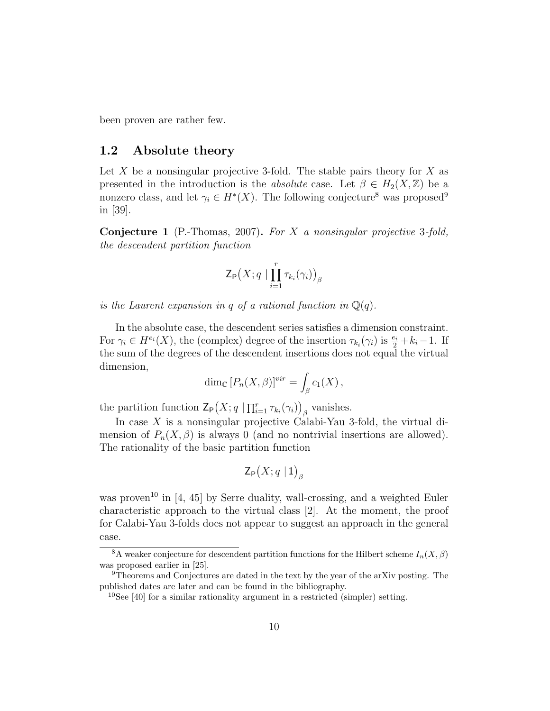been proven are rather few.

#### 1.2 Absolute theory

Let X be a nonsingular projective 3-fold. The stable pairs theory for X as presented in the introduction is the *absolute* case. Let  $\beta \in H_2(X, \mathbb{Z})$  be a nonzero class, and let  $\gamma_i \in H^*(X)$ . The following conjecture<sup>8</sup> was proposed<sup>9</sup> in [39].

Conjecture 1 (P.-Thomas, 2007). For X a nonsingular projective 3-fold, the descendent partition function

$$
\mathsf{Z}_{\mathsf{P}}\big(X; q \mid \prod_{i=1}^r \tau_{k_i}(\gamma_i)\big)_{\beta}
$$

is the Laurent expansion in q of a rational function in  $\mathbb{Q}(q)$ .

In the absolute case, the descendent series satisfies a dimension constraint. For  $\gamma_i \in H^{e_i}(X)$ , the (complex) degree of the insertion  $\tau_{k_i}(\gamma_i)$  is  $\frac{e_i}{2} + k_i - 1$ . If the sum of the degrees of the descendent insertions does not equal the virtual dimension,

$$
\dim_{\mathbb{C}}[P_n(X,\beta)]^{vir} = \int_{\beta} c_1(X),
$$

the partition function  $\mathsf{Z}_{\mathsf{P}}(X; q \mid \prod_{i=1}^r \tau_{k_i}(\gamma_i))_{\beta}$  vanishes.

In case  $X$  is a nonsingular projective Calabi-Yau 3-fold, the virtual dimension of  $P_n(X, \beta)$  is always 0 (and no nontrivial insertions are allowed). The rationality of the basic partition function

$$
\mathsf{Z}_{\mathsf{P}}\big(X;q\mid 1\big)_{\beta}
$$

was proven<sup>10</sup> in [4, 45] by Serre duality, wall-crossing, and a weighted Euler characteristic approach to the virtual class [2]. At the moment, the proof for Calabi-Yau 3-folds does not appear to suggest an approach in the general case.

<sup>&</sup>lt;sup>8</sup>A weaker conjecture for descendent partition functions for the Hilbert scheme  $I_n(X, \beta)$ was proposed earlier in [25].

<sup>9</sup>Theorems and Conjectures are dated in the text by the year of the arXiv posting. The published dates are later and can be found in the bibliography.

<sup>&</sup>lt;sup>10</sup>See [40] for a similar rationality argument in a restricted (simpler) setting.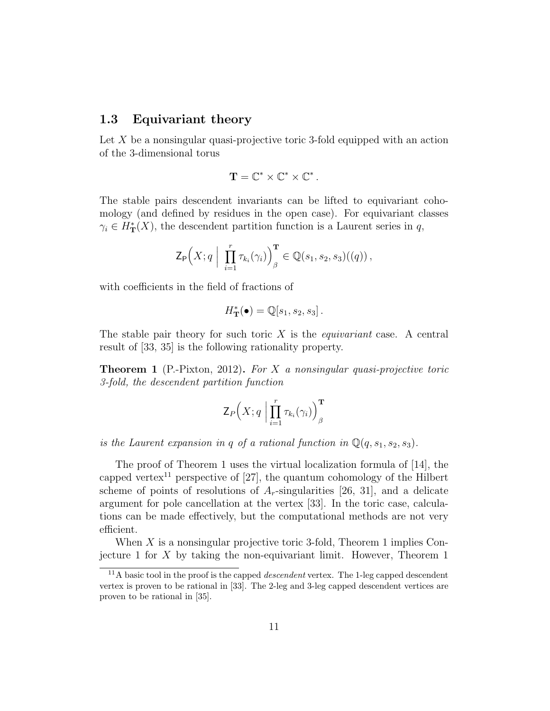#### 1.3 Equivariant theory

Let X be a nonsingular quasi-projective toric 3-fold equipped with an action of the 3-dimensional torus

$$
\mathbf{T}=\mathbb{C}^*\times\mathbb{C}^*\times\mathbb{C}^*\,.
$$

The stable pairs descendent invariants can be lifted to equivariant cohomology (and defined by residues in the open case). For equivariant classes  $\gamma_i \in H^*_{\mathbf{T}}(X)$ , the descendent partition function is a Laurent series in q,

$$
\mathsf{Z}_{\mathsf{P}}\Big(X; q \mid \prod_{i=1}^r \tau_{k_i}(\gamma_i)\Big)_{\beta}^{\mathbf{T}} \in \mathbb{Q}(s_1, s_2, s_3)((q))\,,
$$

with coefficients in the field of fractions of

$$
H_{\mathbf{T}}^{\ast}(\bullet) = \mathbb{Q}[s_1, s_2, s_3].
$$

The stable pair theory for such toric  $X$  is the *equivariant* case. A central result of [33, 35] is the following rationality property.

**Theorem 1** (P.-Pixton, 2012). For X a nonsingular quasi-projective toric 3-fold, the descendent partition function

$$
\mathsf{Z}_{P}\Big(X;q\;\Big|\prod_{i=1}^r\tau_{k_i}(\gamma_i)\Big)^{\mathbf{T}}_{\beta}
$$

is the Laurent expansion in q of a rational function in  $\mathbb{Q}(q, s_1, s_2, s_3)$ .

The proof of Theorem 1 uses the virtual localization formula of [14], the capped vertex<sup>11</sup> perspective of [27], the quantum cohomology of the Hilbert scheme of points of resolutions of  $A_r$ -singularities [26, 31], and a delicate argument for pole cancellation at the vertex [33]. In the toric case, calculations can be made effectively, but the computational methods are not very efficient.

When  $X$  is a nonsingular projective toric 3-fold, Theorem 1 implies Conjecture 1 for  $X$  by taking the non-equivariant limit. However, Theorem 1

 $11$ A basic tool in the proof is the capped *descendent* vertex. The 1-leg capped descendent vertex is proven to be rational in [33]. The 2-leg and 3-leg capped descendent vertices are proven to be rational in [35].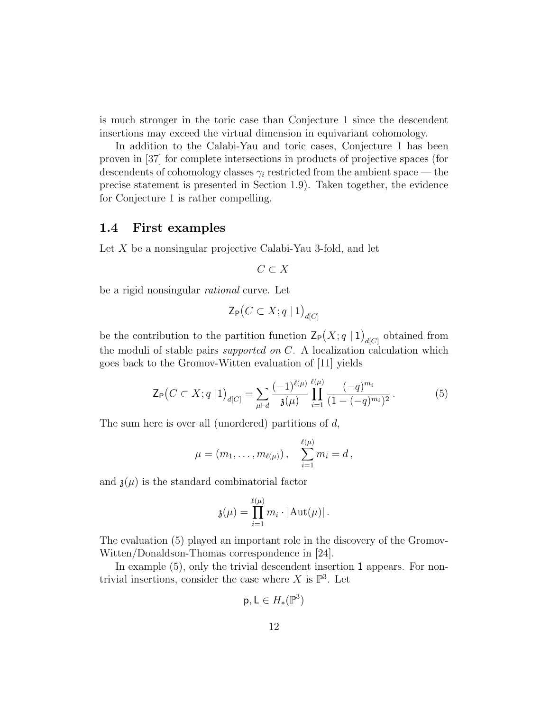is much stronger in the toric case than Conjecture 1 since the descendent insertions may exceed the virtual dimension in equivariant cohomology.

In addition to the Calabi-Yau and toric cases, Conjecture 1 has been proven in [37] for complete intersections in products of projective spaces (for descendents of cohomology classes  $\gamma_i$  restricted from the ambient space — the precise statement is presented in Section 1.9). Taken together, the evidence for Conjecture 1 is rather compelling.

#### 1.4 First examples

Let X be a nonsingular projective Calabi-Yau 3-fold, and let

$$
C\subset X
$$

be a rigid nonsingular rational curve. Let

$$
\mathsf{Z}_{\mathsf{P}}\big(C \subset X; q \mid \mathbf{1}\big)_{d[C]}
$$

be the contribution to the partition function  $\mathsf{Z}_{\mathsf{P}}(X; q \mid 1)_{d[C]}$  obtained from the moduli of stable pairs supported on C. A localization calculation which goes back to the Gromov-Witten evaluation of [11] yields

$$
\mathsf{Z}_{\mathsf{P}}\big(C \subset X; q \mid 1\big)_{d[C]} = \sum_{\mu \vdash d} \frac{(-1)^{\ell(\mu)}}{\mathfrak{z}(\mu)} \prod_{i=1}^{\ell(\mu)} \frac{(-q)^{m_i}}{(1 - (-q)^{m_i})^2} \,. \tag{5}
$$

The sum here is over all (unordered) partitions of d,

$$
\mu = (m_1, \ldots, m_{\ell(\mu)}), \quad \sum_{i=1}^{\ell(\mu)} m_i = d,
$$

and  $\mathfrak{z}(\mu)$  is the standard combinatorial factor

$$
\mathfrak{z}(\mu) = \prod_{i=1}^{\ell(\mu)} m_i \cdot |\mathrm{Aut}(\mu)|.
$$

The evaluation (5) played an important role in the discovery of the Gromov-Witten/Donaldson-Thomas correspondence in [24].

In example (5), only the trivial descendent insertion 1 appears. For nontrivial insertions, consider the case where X is  $\mathbb{P}^3$ . Let

$$
\mathsf{p},\mathsf{L}\in H_*(\mathbb{P}^3)
$$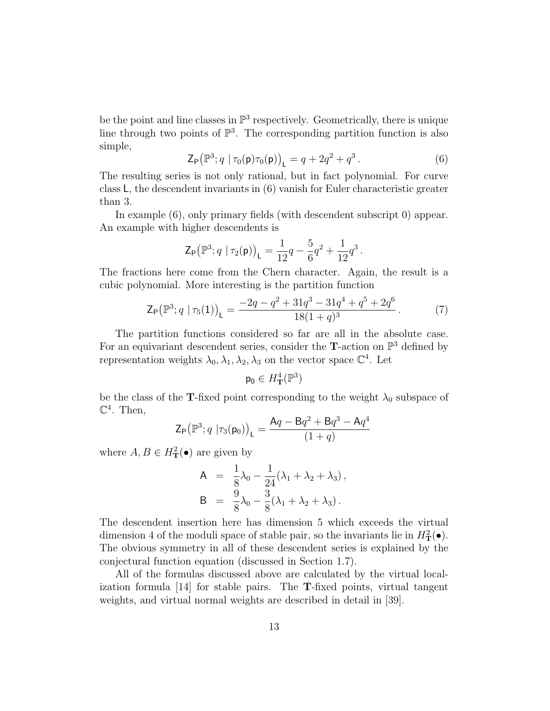be the point and line classes in  $\mathbb{P}^3$  respectively. Geometrically, there is unique line through two points of  $\mathbb{P}^3$ . The corresponding partition function is also simple,

$$
\mathsf{Z}_{\mathsf{P}}(\mathbb{P}^3; q \mid \tau_0(\mathsf{p})\tau_0(\mathsf{p}))_{\mathsf{L}} = q + 2q^2 + q^3. \tag{6}
$$

The resulting series is not only rational, but in fact polynomial. For curve class L, the descendent invariants in (6) vanish for Euler characteristic greater than 3.

In example (6), only primary fields (with descendent subscript 0) appear. An example with higher descendents is

$$
\mathsf{Z}_{\mathsf{P}}\big(\mathbb{P}^3; q \mid \tau_2(\mathsf{p})\big)_{\mathsf{L}} = \frac{1}{12}q - \frac{5}{6}q^2 + \frac{1}{12}q^3\,.
$$

The fractions here come from the Chern character. Again, the result is a cubic polynomial. More interesting is the partition function

$$
\mathsf{Z}_{\mathsf{P}}(\mathbb{P}^3; q \mid \tau_5(1))_{\mathsf{L}} = \frac{-2q - q^2 + 31q^3 - 31q^4 + q^5 + 2q^6}{18(1+q)^3}.
$$
 (7)

The partition functions considered so far are all in the absolute case. For an equivariant descendent series, consider the **T**-action on  $\mathbb{P}^3$  defined by representation weights  $\lambda_0, \lambda_1, \lambda_2, \lambda_3$  on the vector space  $\mathbb{C}^4$ . Let

$$
\mathsf{p}_0\in H^4_\mathbf{T}(\mathbb{P}^3)
$$

be the class of the T-fixed point corresponding to the weight  $\lambda_0$  subspace of  $\mathbb{C}^4$ . Then,

$$
\mathsf{Z}_{\mathsf{P}}\big(\mathbb{P}^3; q \, | \tau_3(\mathsf{p}_0)\big)_{\mathsf{L}} = \frac{\mathsf{A}q - \mathsf{B}q^2 + \mathsf{B}q^3 - \mathsf{A}q^4}{(1+q)}
$$

where  $A, B \in H^2_{\mathbf{T}}(\bullet)$  are given by

$$
A = \frac{1}{8}\lambda_0 - \frac{1}{24}(\lambda_1 + \lambda_2 + \lambda_3),
$$
  
\n
$$
B = \frac{9}{8}\lambda_0 - \frac{3}{8}(\lambda_1 + \lambda_2 + \lambda_3).
$$

The descendent insertion here has dimension 5 which exceeds the virtual dimension 4 of the moduli space of stable pair, so the invariants lie in  $H^2_{\mathbf{T}}(\bullet)$ . The obvious symmetry in all of these descendent series is explained by the conjectural function equation (discussed in Section 1.7).

All of the formulas discussed above are calculated by the virtual localization formula [14] for stable pairs. The T-fixed points, virtual tangent weights, and virtual normal weights are described in detail in [39].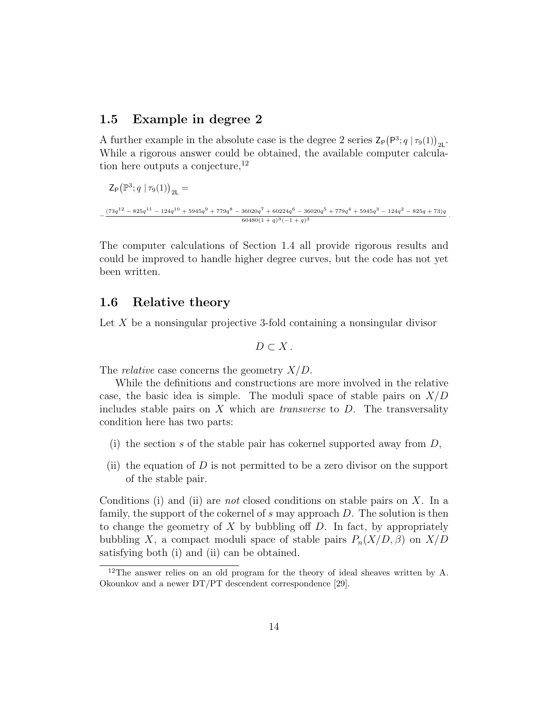#### 1.5 Example in degree 2

A further example in the absolute case is the degree 2 series  $\mathsf{Z}_{\mathsf{P}}(P^3; q \mid \tau_9(1))_{2\mathsf{L}}$ . While a rigorous answer could be obtained, the available computer calculation here outputs a conjecture, $^{12}$ 

$$
Z_{P}(\mathbb{P}^{3}; q \mid \tau_{9}(1))_{2L} =
$$
  

$$
-\frac{(73q^{12} - 825q^{11} - 124q^{10} + 5945q^{9} + 779q^{8} - 36020q^{7} + 60224q^{6} - 36020q^{5} + 779q^{4} + 5945q^{3} - 124q^{2} - 825q + 73)q^{8}}{60480(1+q)^{3}(-1+q)^{3}}
$$

.

The computer calculations of Section 1.4 all provide rigorous results and could be improved to handle higher degree curves, but the code has not yet been written.

#### 1.6 Relative theory

Let  $X$  be a nonsingular projective 3-fold containing a nonsingular divisor

$$
D\subset X.
$$

The *relative* case concerns the geometry  $X/D$ .

While the definitions and constructions are more involved in the relative case, the basic idea is simple. The moduli space of stable pairs on  $X/D$ includes stable pairs on  $X$  which are *transverse* to  $D$ . The transversality condition here has two parts:

- (i) the section s of the stable pair has cokernel supported away from  $D$ ,
- (ii) the equation of  $D$  is not permitted to be a zero divisor on the support of the stable pair.

Conditions (i) and (ii) are *not* closed conditions on stable pairs on X. In a family, the support of the cokernel of s may approach D. The solution is then to change the geometry of  $X$  by bubbling off  $D$ . In fact, by appropriately bubbling X, a compact moduli space of stable pairs  $P_n(X/D, \beta)$  on  $X/D$ satisfying both (i) and (ii) can be obtained.

<sup>&</sup>lt;sup>12</sup>The answer relies on an old program for the theory of ideal sheaves written by A. Okounkov and a newer DT/PT descendent correspondence [29].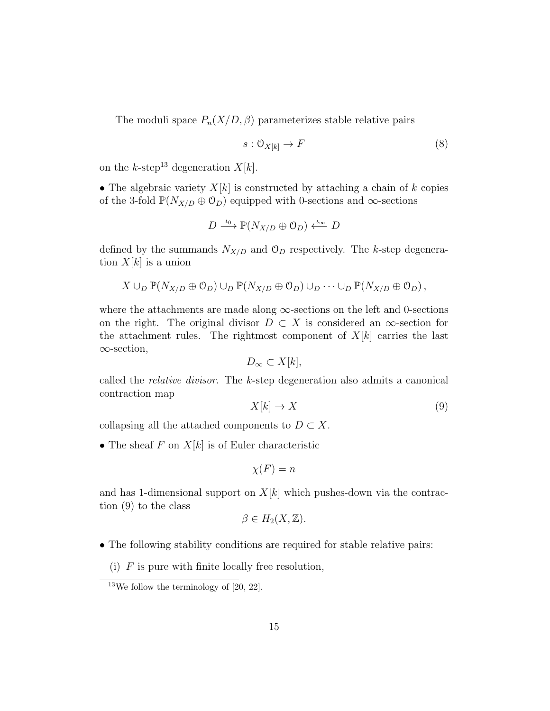The moduli space  $P_n(X/D, \beta)$  parameterizes stable relative pairs

$$
s: \mathcal{O}_{X[k]} \to F \tag{8}
$$

on the  $k$ -step<sup>13</sup> degeneration  $X[k]$ .

• The algebraic variety  $X[k]$  is constructed by attaching a chain of k copies of the 3-fold  $\mathbb{P}(N_{X/D} \oplus \mathcal{O}_D)$  equipped with 0-sections and  $\infty$ -sections

$$
D \xrightarrow{\iota_0} \mathbb{P}(N_{X/D} \oplus \mathcal{O}_D) \xleftarrow{\iota_\infty} D
$$

defined by the summands  $N_{X/D}$  and  $\mathcal{O}_D$  respectively. The k-step degeneration  $X[k]$  is a union

$$
X \cup_D \mathbb{P}(N_{X/D} \oplus \mathcal{O}_D) \cup_D \mathbb{P}(N_{X/D} \oplus \mathcal{O}_D) \cup_D \cdots \cup_D \mathbb{P}(N_{X/D} \oplus \mathcal{O}_D),
$$

where the attachments are made along  $\infty$ -sections on the left and 0-sections on the right. The original divisor  $D \subset X$  is considered an  $\infty$ -section for the attachment rules. The rightmost component of  $X[k]$  carries the last ∞-section,

$$
D_{\infty} \subset X[k],
$$

called the relative divisor. The k-step degeneration also admits a canonical contraction map

$$
X[k] \to X \tag{9}
$$

collapsing all the attached components to  $D \subset X$ .

• The sheaf  $F$  on  $X[k]$  is of Euler characteristic

$$
\chi(F) = n
$$

and has 1-dimensional support on  $X[k]$  which pushes-down via the contraction (9) to the class

$$
\beta \in H_2(X, \mathbb{Z}).
$$

- The following stability conditions are required for stable relative pairs:
	- (i)  $F$  is pure with finite locally free resolution,

 $13$ We follow the terminology of [20, 22].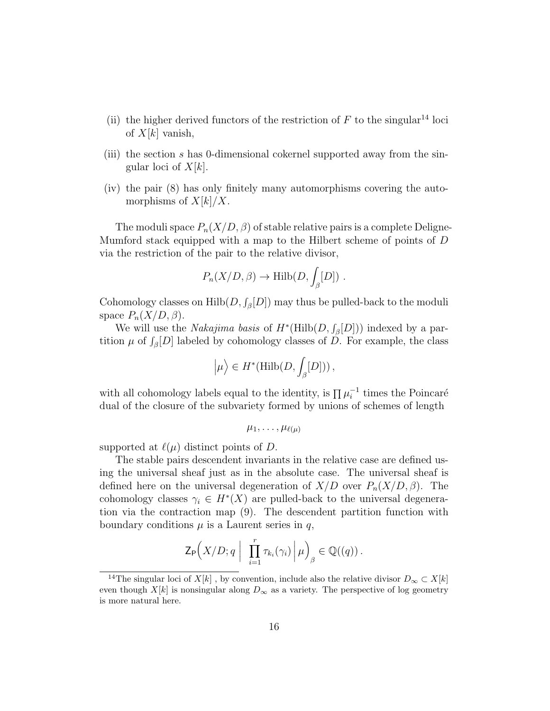- (ii) the higher derived functors of the restriction of  $F$  to the singular<sup>14</sup> loci of  $X[k]$  vanish,
- (iii) the section s has 0-dimensional cokernel supported away from the singular loci of  $X[k]$ .
- (iv) the pair (8) has only finitely many automorphisms covering the automorphisms of  $X[k]/X$ .

The moduli space  $P_n(X/D, \beta)$  of stable relative pairs is a complete Deligne-Mumford stack equipped with a map to the Hilbert scheme of points of D via the restriction of the pair to the relative divisor,

$$
P_n(X/D, \beta) \to \text{Hilb}(D, \int_{\beta} [D])
$$
.

Cohomology classes on  $\text{Hilb}(D, \int_{\beta}[D])$  may thus be pulled-back to the moduli space  $P_n(X/D, \beta)$ .

We will use the *Nakajima basis* of  $H^*(\text{Hilb}(D, \mathcal{J}_{\beta}[D]))$  indexed by a partition  $\mu$  of  $\int_{\beta}[D]$  labeled by cohomology classes of D. For example, the class

$$
\left|\mu\right\rangle \in H^*(\mathrm{Hilb}(D,\int_{\beta}[D]))\,,
$$

with all cohomology labels equal to the identity, is  $\prod \mu_i^{-1}$  times the Poincaré dual of the closure of the subvariety formed by unions of schemes of length

$$
\mu_1,\ldots,\mu_{\ell(\mu)}
$$

supported at  $\ell(\mu)$  distinct points of D.

The stable pairs descendent invariants in the relative case are defined using the universal sheaf just as in the absolute case. The universal sheaf is defined here on the universal degeneration of  $X/D$  over  $P_n(X/D, \beta)$ . The cohomology classes  $\gamma_i \in H^*(X)$  are pulled-back to the universal degeneration via the contraction map (9). The descendent partition function with boundary conditions  $\mu$  is a Laurent series in q,

$$
\mathsf{Z}_{\mathsf{P}}\Big(X/D;q\ \Big|\ \prod_{i=1}^r\tau_{k_i}(\gamma_i)\Big|\mu\Big)_{\beta}\in\mathbb{Q}((q))\,.
$$

<sup>&</sup>lt;sup>14</sup>The singular loci of X[k], by convention, include also the relative divisor  $D_{\infty} \subset X[k]$ even though  $X[k]$  is nonsingular along  $D_{\infty}$  as a variety. The perspective of log geometry is more natural here.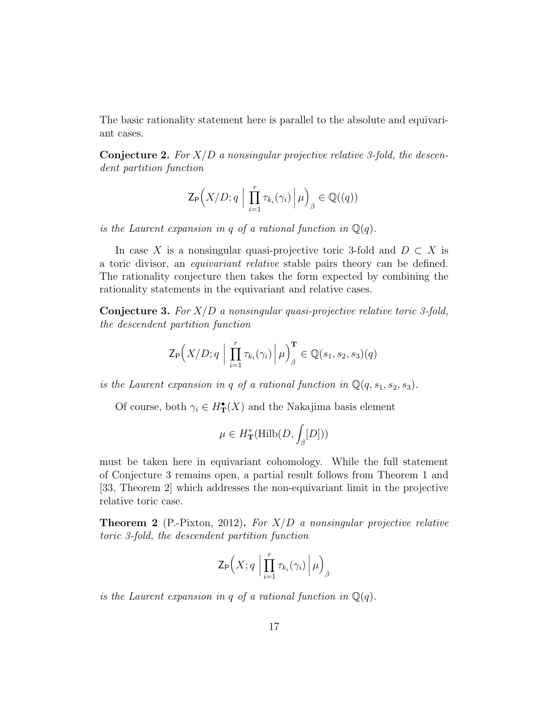The basic rationality statement here is parallel to the absolute and equivariant cases.

**Conjecture 2.** For  $X/D$  a nonsingular projective relative 3-fold, the descendent partition function

$$
\mathsf{Z}_{\mathsf{P}}\Big(X/D;q\ \Big|\ \prod_{i=1}^r\tau_{k_i}(\gamma_i)\,\Big|\, \mu\Big)_{\beta}\in \mathbb{Q}((q))
$$

is the Laurent expansion in q of a rational function in  $\mathbb{Q}(q)$ .

In case X is a nonsingular quasi-projective toric 3-fold and  $D \subset X$  is a toric divisor, an equivariant relative stable pairs theory can be defined. The rationality conjecture then takes the form expected by combining the rationality statements in the equivariant and relative cases.

**Conjecture 3.** For  $X/D$  a nonsingular quasi-projective relative toric 3-fold, the descendent partition function

$$
\mathsf{Z}_{\mathsf{P}}\Big(X/D;q \mid \prod_{i=1}^r \tau_{k_i}(\gamma_i) \mid \mu\Big)_{\beta}^{\mathbf{T}} \in \mathbb{Q}(s_1,s_2,s_3)(q)
$$

is the Laurent expansion in q of a rational function in  $\mathbb{Q}(q, s_1, s_2, s_3)$ .

Of course, both  $\gamma_i \in H^{\bullet}_{\mathbf{T}}(X)$  and the Nakajima basis element

$$
\mu \in H^*_{\bf T}(\mathrm{Hilb}(D, \int_{\beta} [D]))
$$

must be taken here in equivariant cohomology. While the full statement of Conjecture 3 remains open, a partial result follows from Theorem 1 and [33, Theorem 2] which addresses the non-equivariant limit in the projective relative toric case.

**Theorem 2** (P.-Pixton, 2012). For  $X/D$  a nonsingular projective relative toric 3-fold, the descendent partition function

$$
\mathsf{Z}_{\mathsf{P}}\Bigl(X;q \Bigm| \prod_{i=1}^r \tau_{k_i}(\gamma_i) \Bigm| \mu \Bigr)_{\beta}
$$

is the Laurent expansion in q of a rational function in  $\mathbb{Q}(q)$ .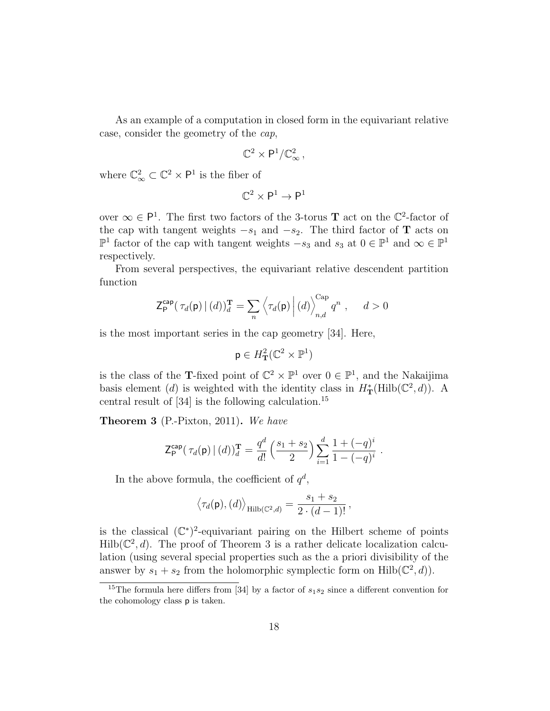As an example of a computation in closed form in the equivariant relative case, consider the geometry of the cap,

$$
\mathbb{C}^2\times\mathsf{P}^1/\mathbb{C}_\infty^2\,,
$$

where  $\mathbb{C}_{\infty}^2 \subset \mathbb{C}^2 \times \mathsf{P}^1$  is the fiber of

$$
\mathbb{C}^2\times\mathsf{P}^1\to\mathsf{P}^1
$$

over  $\infty \in \mathsf{P}^1$ . The first two factors of the 3-torus **T** act on the  $\mathbb{C}^2$ -factor of the cap with tangent weights  $-s_1$  and  $-s_2$ . The third factor of **T** acts on  $\mathbb{P}^1$  factor of the cap with tangent weights  $-s_3$  and  $s_3$  at  $0 \in \mathbb{P}^1$  and  $\infty \in \mathbb{P}^1$ respectively.

From several perspectives, the equivariant relative descendent partition function

$$
\mathsf{Z}_{\mathsf{P}}^{\mathsf{cap}}\big(\,\tau_d(\mathsf{p})\,\vert\,(d)\big)_{d}^{\mathbf{T}} = \sum_{n} \left\langle \tau_d(\mathsf{p})\,\right| (d) \right\rangle_{n,d}^{\text{Cap}} q^n \;, \quad d > 0
$$

is the most important series in the cap geometry [34]. Here,

$$
\mathsf{p} \in H^2_{\mathbf{T}}(\mathbb{C}^2 \times \mathbb{P}^1)
$$

is the class of the **T**-fixed point of  $\mathbb{C}^2 \times \mathbb{P}^1$  over  $0 \in \mathbb{P}^1$ , and the Nakaijima basis element (d) is weighted with the identity class in  $H^*_{\mathbf{T}}(\mathrm{Hilb}(\mathbb{C}^2, d))$ . A central result of  $[34]$  is the following calculation.<sup>15</sup>

Theorem 3 (P.-Pixton, 2011). We have

$$
\mathsf{Z}_{\mathsf{P}}^{\mathsf{cap}}(\tau_d(\mathsf{p}) \mid (d))_d^{\mathbf{T}} = \frac{q^d}{d!} \left( \frac{s_1 + s_2}{2} \right) \sum_{i=1}^d \frac{1 + (-q)^i}{1 - (-q)^i} \; .
$$

In the above formula, the coefficient of  $q^d$ ,

$$
\langle \tau_d(\mathsf{p}), (d) \rangle_{\mathrm{Hilb}(\mathbb{C}^2,d)} = \frac{s_1 + s_2}{2 \cdot (d-1)!} \,,
$$

is the classical  $(\mathbb{C}^*)^2$ -equivariant pairing on the Hilbert scheme of points  $\text{Hilb}(\mathbb{C}^2, d)$ . The proof of Theorem 3 is a rather delicate localization calculation (using several special properties such as the a priori divisibility of the answer by  $s_1 + s_2$  from the holomorphic symplectic form on Hilb( $\mathbb{C}^2$ , d)).

<sup>&</sup>lt;sup>15</sup>The formula here differs from [34] by a factor of  $s_1s_2$  since a different convention for the cohomology class p is taken.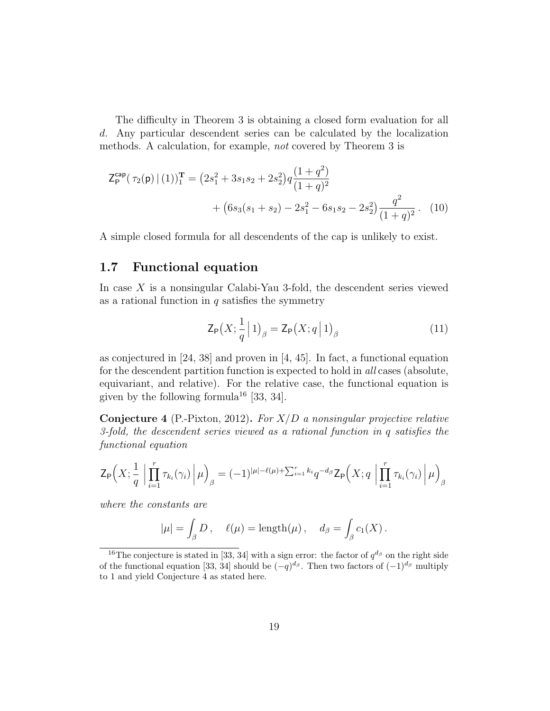The difficulty in Theorem 3 is obtaining a closed form evaluation for all d. Any particular descendent series can be calculated by the localization methods. A calculation, for example, not covered by Theorem 3 is

$$
\mathsf{Z}_{\mathsf{P}}^{\mathsf{cap}}(\tau_2(\mathsf{p}) \mid (1))_1^{\mathbf{T}} = \left(2s_1^2 + 3s_1s_2 + 2s_2^2\right)q \frac{(1+q^2)}{(1+q)^2} + \left(6s_3(s_1+s_2) - 2s_1^2 - 6s_1s_2 - 2s_2^2\right) \frac{q^2}{(1+q)^2}.
$$
 (10)

A simple closed formula for all descendents of the cap is unlikely to exist.

### 1.7 Functional equation

In case X is a nonsingular Calabi-Yau 3-fold, the descendent series viewed as a rational function in  $q$  satisfies the symmetry

$$
\mathsf{Z}_{\mathsf{P}}\big(X;\frac{1}{q}\,\big|\,1\big)_{\beta} = \mathsf{Z}_{\mathsf{P}}\big(X;q\,\big|\,1\big)_{\beta} \tag{11}
$$

as conjectured in  $[24, 38]$  and proven in  $[4, 45]$ . In fact, a functional equation for the descendent partition function is expected to hold in all cases (absolute, equivariant, and relative). For the relative case, the functional equation is given by the following formula<sup>16</sup> [33, 34].

**Conjecture 4** (P.-Pixton, 2012). For  $X/D$  a nonsingular projective relative 3-fold, the descendent series viewed as a rational function in q satisfies the functional equation

$$
\mathsf{Z}_{\mathsf{P}}\Big(X;\frac{1}{q}\Big|\prod_{i=1}^r\tau_{k_i}(\gamma_i)\Big|\mu\Big)_{\beta}=(-1)^{|\mu|-\ell(\mu)+\sum_{i=1}^rk_i}q^{-d_{\beta}}\mathsf{Z}_{\mathsf{P}}\Big(X;q\Big|\prod_{i=1}^r\tau_{k_i}(\gamma_i)\Big|\mu\Big)_{\beta}
$$

where the constants are

$$
|\mu| = \int_{\beta} D, \quad \ell(\mu) = \text{length}(\mu), \quad d_{\beta} = \int_{\beta} c_1(X).
$$

<sup>&</sup>lt;sup>16</sup>The conjecture is stated in [33, 34] with a sign error: the factor of  $q^{d_{\beta}}$  on the right side of the functional equation [33, 34] should be  $(-q)^{d_{\beta}}$ . Then two factors of  $(-1)^{d_{\beta}}$  multiply to 1 and yield Conjecture 4 as stated here.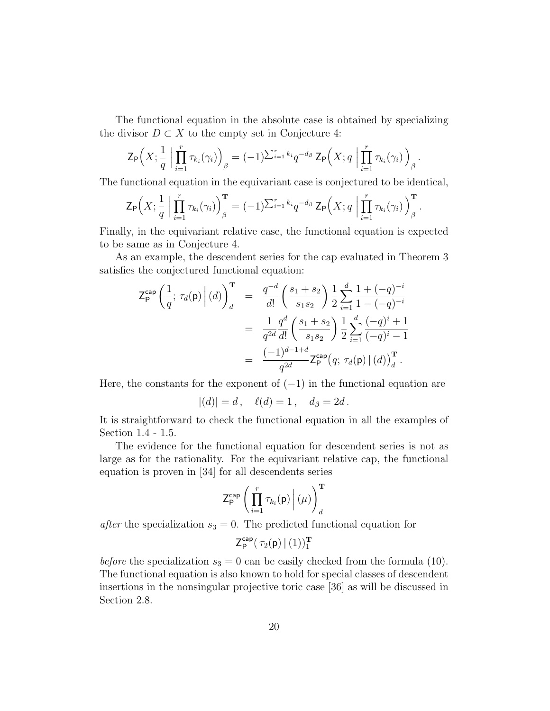The functional equation in the absolute case is obtained by specializing the divisor  $D \subset X$  to the empty set in Conjecture 4:

$$
\mathsf{Z}_{\mathsf{P}}\Big(X;\frac{1}{q}\Big|\prod_{i=1}^r\tau_{k_i}(\gamma_i)\Big)_{\beta}=(-1)^{\sum_{i=1}^rk_i}q^{-d_{\beta}}\,\mathsf{Z}_{\mathsf{P}}\Big(X;q\Big|\prod_{i=1}^r\tau_{k_i}(\gamma_i)\Big)_{\beta}.
$$

The functional equation in the equivariant case is conjectured to be identical,

$$
\mathsf{Z}_{\mathsf{P}}\Big(X;\frac{1}{q}\Big|\prod_{i=1}^r\tau_{k_i}(\gamma_i)\Big)_{\beta}^{\mathbf{T}}=(-1)^{\sum_{i=1}^rk_i}q^{-d_{\beta}}\,\mathsf{Z}_{\mathsf{P}}\Big(X;q\Big|\prod_{i=1}^r\tau_{k_i}(\gamma_i)\Big)_{\beta}^{\mathbf{T}}.
$$

Finally, in the equivariant relative case, the functional equation is expected to be same as in Conjecture 4.

As an example, the descendent series for the cap evaluated in Theorem 3 satisfies the conjectured functional equation:

$$
\begin{array}{rcl} \left. \mathsf{Z}_{\mathsf{P}}^{\mathsf{cap}} \left( \frac{1}{q}; \, \tau_d(\mathsf{p}) \, \middle| \, (d) \right)_{d}^{\mathbf{T}} & = & \frac{q^{-d}}{d!} \left( \frac{s_1 + s_2}{s_1 s_2} \right) \frac{1}{2} \sum_{i=1}^{d} \frac{1 + (-q)^{-i}}{1 - (-q)^{-i}} \\ \\ & = & \frac{1}{q^{2d}} \frac{q^d}{d!} \left( \frac{s_1 + s_2}{s_1 s_2} \right) \frac{1}{2} \sum_{i=1}^{d} \frac{(-q)^i + 1}{(-q)^i - 1} \\ \\ & = & \frac{(-1)^{d-1+d}}{q^{2d}} \mathsf{Z}_{\mathsf{P}}^{\mathsf{cap}} \big( q; \, \tau_d(\mathsf{p}) \, | \, (d) \big)_{d}^{\mathbf{T}} \, . \end{array}
$$

Here, the constants for the exponent of  $(-1)$  in the functional equation are

$$
|(d)| = d, \quad \ell(d) = 1, \quad d_{\beta} = 2d.
$$

It is straightforward to check the functional equation in all the examples of Section 1.4 - 1.5.

The evidence for the functional equation for descendent series is not as large as for the rationality. For the equivariant relative cap, the functional equation is proven in [34] for all descendents series

$$
\mathsf{Z}_{\mathsf{P}}^{\mathsf{cap}}\left(\left.\prod_{i=1}^r\tau_{k_i}(\mathsf{p})\,\right|(\mu)\right)^{\mathbf{T}}_{d}
$$

after the specialization  $s_3 = 0$ . The predicted functional equation for

$$
\mathsf{Z}_\mathsf{P}^\mathsf{cap}(\,\tau_2(\mathsf{p})\,\vert\,(1))^{\mathbf{T}}_1
$$

before the specialization  $s_3 = 0$  can be easily checked from the formula (10). The functional equation is also known to hold for special classes of descendent insertions in the nonsingular projective toric case [36] as will be discussed in Section 2.8.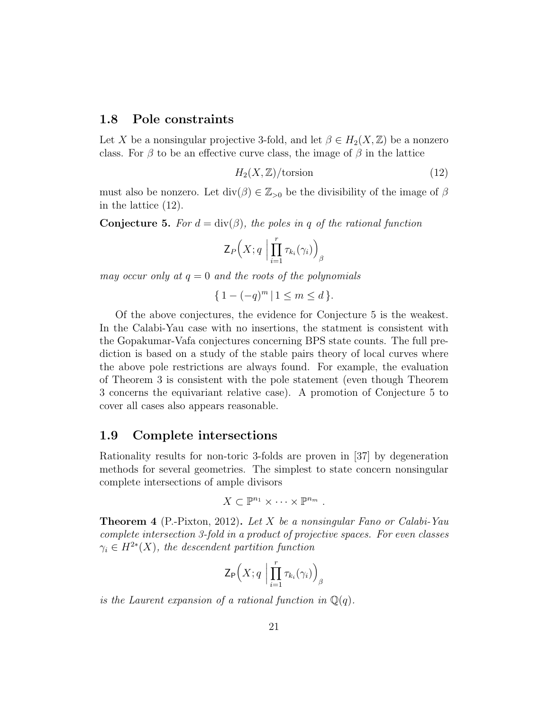#### 1.8 Pole constraints

Let X be a nonsingular projective 3-fold, and let  $\beta \in H_2(X, \mathbb{Z})$  be a nonzero class. For  $\beta$  to be an effective curve class, the image of  $\beta$  in the lattice

$$
H_2(X, \mathbb{Z})/\text{torsion} \tag{12}
$$

must also be nonzero. Let  $\text{div}(\beta) \in \mathbb{Z}_{>0}$  be the divisibility of the image of  $\beta$ in the lattice (12).

**Conjecture 5.** For  $d = \text{div}(\beta)$ , the poles in q of the rational function

$$
\mathsf{Z}_{P}\Big(X;q\;\Big|\prod_{i=1}^r\tau_{k_i}(\gamma_i)\Big)_{\beta}
$$

may occur only at  $q = 0$  and the roots of the polynomials

$$
\{ 1 - (-q)^m \, | \, 1 \le m \le d \}.
$$

Of the above conjectures, the evidence for Conjecture 5 is the weakest. In the Calabi-Yau case with no insertions, the statment is consistent with the Gopakumar-Vafa conjectures concerning BPS state counts. The full prediction is based on a study of the stable pairs theory of local curves where the above pole restrictions are always found. For example, the evaluation of Theorem 3 is consistent with the pole statement (even though Theorem 3 concerns the equivariant relative case). A promotion of Conjecture 5 to cover all cases also appears reasonable.

#### 1.9 Complete intersections

Rationality results for non-toric 3-folds are proven in [37] by degeneration methods for several geometries. The simplest to state concern nonsingular complete intersections of ample divisors

$$
X\subset\mathbb{P}^{n_1}\times\cdots\times\mathbb{P}^{n_m}.
$$

**Theorem 4** (P.-Pixton, 2012). Let X be a nonsingular Fano or Calabi-Yau complete intersection 3-fold in a product of projective spaces. For even classes  $\gamma_i \in H^{2*}(X)$ , the descendent partition function

$$
\mathsf{Z}_{\mathsf{P}}\Big(X;q\;\Big|\prod_{i=1}^r\tau_{k_i}(\gamma_i)\Big)_{\beta}
$$

is the Laurent expansion of a rational function in  $\mathbb{Q}(q)$ .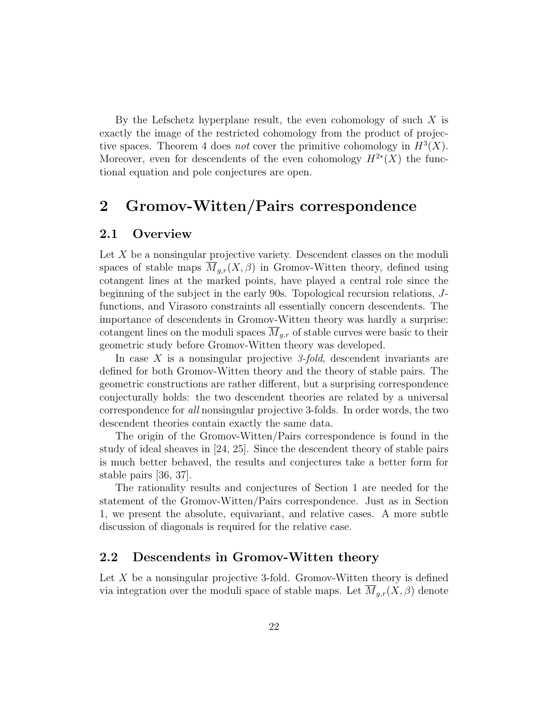By the Lefschetz hyperplane result, the even cohomology of such  $X$  is exactly the image of the restricted cohomology from the product of projective spaces. Theorem 4 does *not* cover the primitive cohomology in  $H^3(X)$ . Moreover, even for descendents of the even cohomology  $H^{2*}(X)$  the functional equation and pole conjectures are open.

## 2 Gromov-Witten/Pairs correspondence

### 2.1 Overview

Let X be a nonsingular projective variety. Descendent classes on the moduli spaces of stable maps  $M_{q,r}(X,\beta)$  in Gromov-Witten theory, defined using cotangent lines at the marked points, have played a central role since the beginning of the subject in the early 90s. Topological recursion relations, Jfunctions, and Virasoro constraints all essentially concern descendents. The importance of descendents in Gromov-Witten theory was hardly a surprise: cotangent lines on the moduli spaces  $\overline{M}_{q,r}$  of stable curves were basic to their geometric study before Gromov-Witten theory was developed.

In case X is a nonsingular projective 3-fold, descendent invariants are defined for both Gromov-Witten theory and the theory of stable pairs. The geometric constructions are rather different, but a surprising correspondence conjecturally holds: the two descendent theories are related by a universal correspondence for all nonsingular projective 3-folds. In order words, the two descendent theories contain exactly the same data.

The origin of the Gromov-Witten/Pairs correspondence is found in the study of ideal sheaves in [24, 25]. Since the descendent theory of stable pairs is much better behaved, the results and conjectures take a better form for stable pairs [36, 37].

The rationality results and conjectures of Section 1 are needed for the statement of the Gromov-Witten/Pairs correspondence. Just as in Section 1, we present the absolute, equivariant, and relative cases. A more subtle discussion of diagonals is required for the relative case.

#### 2.2 Descendents in Gromov-Witten theory

Let  $X$  be a nonsingular projective 3-fold. Gromov-Witten theory is defined via integration over the moduli space of stable maps. Let  $M_{g,r}(X,\beta)$  denote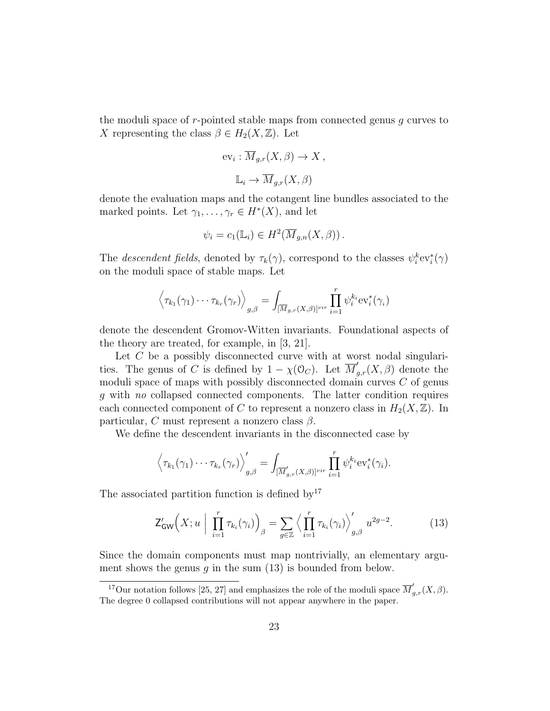the moduli space of  $r$ -pointed stable maps from connected genus  $g$  curves to X representing the class  $\beta \in H_2(X, \mathbb{Z})$ . Let

$$
ev_i : \overline{M}_{g,r}(X,\beta) \to X,
$$
  

$$
\mathbb{L}_i \to \overline{M}_{g,r}(X,\beta)
$$

denote the evaluation maps and the cotangent line bundles associated to the marked points. Let  $\gamma_1, \ldots, \gamma_r \in H^*(X)$ , and let

$$
\psi_i = c_1(\mathbb{L}_i) \in H^2(\overline{M}_{g,n}(X,\beta)).
$$

The *descendent fields*, denoted by  $\tau_k(\gamma)$ , correspond to the classes  $\psi_i^k ev_i^*(\gamma)$ on the moduli space of stable maps. Let

$$
\left\langle \tau_{k_1}(\gamma_1)\cdots\tau_{k_r}(\gamma_r)\right\rangle_{g,\beta}=\int_{[\overline{M}_{g,r}(X,\beta)]^{vir}}\prod_{i=1}^r\psi_i^{k_i}\text{ev}_i^*(\gamma_i)
$$

denote the descendent Gromov-Witten invariants. Foundational aspects of the theory are treated, for example, in [3, 21].

Let  $C$  be a possibly disconnected curve with at worst nodal singularities. The genus of C is defined by  $1 - \chi(\mathcal{O}_C)$ . Let  $\overline{M}'_{g,r}(X,\beta)$  denote the moduli space of maps with possibly disconnected domain curves  $C$  of genus g with no collapsed connected components. The latter condition requires each connected component of C to represent a nonzero class in  $H_2(X,\mathbb{Z})$ . In particular, C must represent a nonzero class  $\beta$ .

We define the descendent invariants in the disconnected case by

$$
\left\langle \tau_{k_1}(\gamma_1)\cdots\tau_{k_r}(\gamma_r)\right\rangle_{g,\beta}'=\int_{[\overline{M}'_{g,r}(X,\beta)]^{vir}}\prod_{i=1}^r\psi_i^{k_i}ev_i^*(\gamma_i).
$$

The associated partition function is defined by  $17$ 

$$
\mathsf{Z}_{\mathsf{GW}}'\Big(X; u \Big| \prod_{i=1}^r \tau_{k_i}(\gamma_i) \Big)_{\beta} = \sum_{g \in \mathbb{Z}} \Big\langle \prod_{i=1}^r \tau_{k_i}(\gamma_i) \Big\rangle_{g,\beta}' u^{2g-2}.
$$
 (13)

Since the domain components must map nontrivially, an elementary argument shows the genus q in the sum  $(13)$  is bounded from below.

<sup>&</sup>lt;sup>17</sup>Our notation follows [25, 27] and emphasizes the role of the moduli space  $\overline{M}'_{g,r}(X,\beta)$ . The degree 0 collapsed contributions will not appear anywhere in the paper.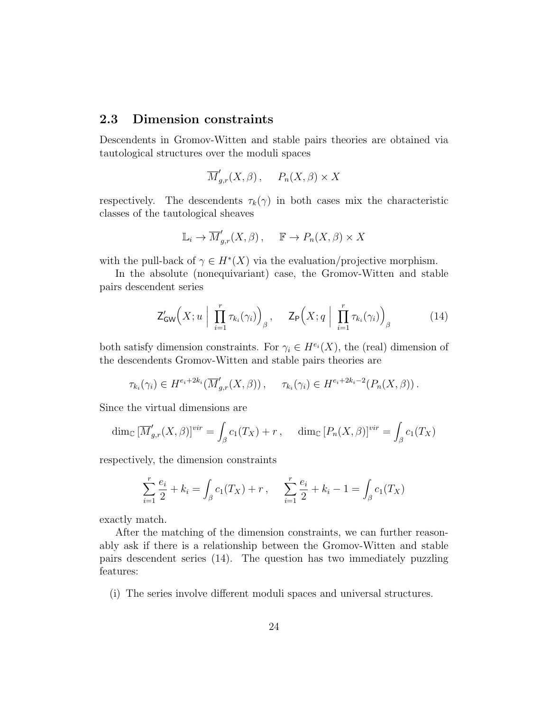#### 2.3 Dimension constraints

Descendents in Gromov-Witten and stable pairs theories are obtained via tautological structures over the moduli spaces

$$
\overline{M}'_{g,r}(X,\beta), \quad P_n(X,\beta) \times X
$$

respectively. The descendents  $\tau_k(\gamma)$  in both cases mix the characteristic classes of the tautological sheaves

$$
\mathbb{L}_i \to \overline{M}'_{g,r}(X,\beta), \quad \mathbb{F} \to P_n(X,\beta) \times X
$$

with the pull-back of  $\gamma \in H^*(X)$  via the evaluation/projective morphism.

In the absolute (nonequivariant) case, the Gromov-Witten and stable pairs descendent series

$$
\mathsf{Z}_{\mathsf{GW}}'\Big(X; u \Big| \prod_{i=1}^r \tau_{k_i}(\gamma_i) \Big)_{\beta}, \quad \mathsf{Z}_{\mathsf{P}}\Big(X; q \Big| \prod_{i=1}^r \tau_{k_i}(\gamma_i) \Big)_{\beta} \tag{14}
$$

both satisfy dimension constraints. For  $\gamma_i \in H^{e_i}(X)$ , the (real) dimension of the descendents Gromov-Witten and stable pairs theories are

$$
\tau_{k_i}(\gamma_i) \in H^{e_i+2k_i}(\overline{M}'_{g,r}(X,\beta)), \quad \tau_{k_i}(\gamma_i) \in H^{e_i+2k_i-2}(P_n(X,\beta)).
$$

Since the virtual dimensions are

$$
\dim_{\mathbb{C}} \left[ \overline{M}'_{g,r}(X,\beta) \right]^{vir} = \int_{\beta} c_1(T_X) + r \,, \quad \dim_{\mathbb{C}} \left[ P_n(X,\beta) \right]^{vir} = \int_{\beta} c_1(T_X)
$$

respectively, the dimension constraints

$$
\sum_{i=1}^{r} \frac{e_i}{2} + k_i = \int_{\beta} c_1(T_X) + r, \quad \sum_{i=1}^{r} \frac{e_i}{2} + k_i - 1 = \int_{\beta} c_1(T_X)
$$

exactly match.

After the matching of the dimension constraints, we can further reasonably ask if there is a relationship between the Gromov-Witten and stable pairs descendent series (14). The question has two immediately puzzling features:

(i) The series involve different moduli spaces and universal structures.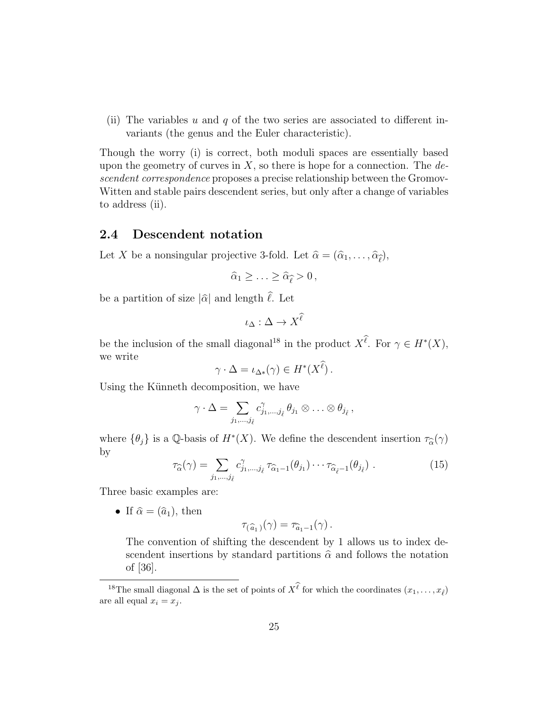(ii) The variables u and q of the two series are associated to different invariants (the genus and the Euler characteristic).

Though the worry (i) is correct, both moduli spaces are essentially based upon the geometry of curves in  $X$ , so there is hope for a connection. The descendent correspondence proposes a precise relationship between the Gromov-Witten and stable pairs descendent series, but only after a change of variables to address (ii).

#### 2.4 Descendent notation

Let X be a nonsingular projective 3-fold. Let  $\hat{\alpha} = (\hat{\alpha}_1, \dots, \hat{\alpha}_{\hat{\ell}}),$ 

$$
\widehat{\alpha}_1 \geq \ldots \geq \widehat{\alpha}_{\widehat{\ell}} > 0\,,
$$

be a partition of size  $|\hat{\alpha}|$  and length  $\hat{\ell}$ . Let

$$
\iota_{\Delta} : \Delta \to X^{\widehat{\ell}}
$$

be the inclusion of the small diagonal<sup>18</sup> in the product  $X^{\ell}$ . For  $\gamma \in H^*(X)$ , we write

$$
\gamma \cdot \Delta = \iota_{\Delta*}(\gamma) \in H^*(X^{\ell}).
$$

Using the Künneth decomposition, we have

$$
\gamma\cdot\Delta=\sum_{j_1,\dots,j_{\hat{\ell}}}c^{\gamma}_{j_1,\dots,j_{\hat{\ell}}}\theta_{j_1}\otimes \ldots \otimes \theta_{j_{\hat{\ell}}},
$$

where  $\{\theta_j\}$  is a Q-basis of  $H^*(X)$ . We define the descendent insertion  $\tau_{\widehat{\alpha}}(\gamma)$ by

$$
\tau_{\widehat{\alpha}}(\gamma) = \sum_{j_1,\dots,j_{\hat{\ell}}} c_{j_1,\dots,j_{\hat{\ell}}}^{\gamma} \tau_{\widehat{\alpha}_1 - 1}(\theta_{j_1}) \cdots \tau_{\widehat{\alpha}_{\hat{\ell}} - 1}(\theta_{j_{\hat{\ell}}}). \tag{15}
$$

Three basic examples are:

• If  $\hat{\alpha} = (\hat{a}_1)$ , then

$$
\tau_{(\widehat{a}_1)}(\gamma) = \tau_{\widehat{a}_1-1}(\gamma).
$$

The convention of shifting the descendent by 1 allows us to index descendent insertions by standard partitions  $\hat{\alpha}$  and follows the notation of [36].

<sup>&</sup>lt;sup>18</sup>The small diagonal  $\Delta$  is the set of points of  $X^{\ell}$  for which the coordinates  $(x_1, \ldots, x_{\ell})$ are all equal  $x_i = x_j$ .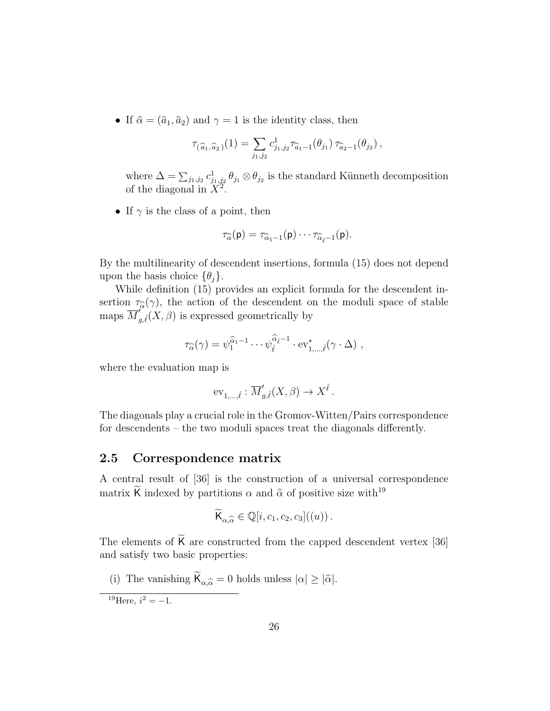• If  $\hat{\alpha} = (\hat{a}_1, \hat{a}_2)$  and  $\gamma = 1$  is the identity class, then

$$
\tau_{(\widehat{a}_1,\widehat{a}_2)}(1) = \sum_{j_1,j_2} c_{j_1,j_2}^1 \tau_{\widehat{a}_1-1}(\theta_{j_1}) \tau_{\widehat{a}_2-1}(\theta_{j_2}),
$$

where  $\Delta = \sum_{j_1, j_2} c_{j_1, j_2}^1 \theta_{j_1} \otimes \theta_{j_2}$  is the standard Künneth decomposition of the diagonal in  $\widehat{X}^2$ .

• If  $\gamma$  is the class of a point, then

$$
\tau_{\widehat{\alpha}}(\mathsf{p})=\tau_{\widehat{\alpha}_1-1}(\mathsf{p})\cdots\tau_{\widehat{\alpha}_{\widehat{\ell}}-1}(\mathsf{p}).
$$

By the multilinearity of descendent insertions, formula (15) does not depend upon the basis choice  $\{\theta_i\}.$ 

While definition (15) provides an explicit formula for the descendent insertion  $\tau_{\widehat{\alpha}}(\gamma)$ , the action of the descendent on the moduli space of stable<br>maps  $\overline{M}'$  (*Y*  $\beta$ ) is expressed geometrically by maps  $\overline{M}_{g,\ell}^{\prime\prime}(X,\beta)$  is expressed geometrically by

$$
\tau_{\widehat{\alpha}}(\gamma) = \psi_1^{\widehat{\alpha}_1 - 1} \cdots \psi_{\widehat{\ell}}^{\widehat{\alpha}_{\widehat{\ell}} - 1} \cdot \mathrm{ev}_{1,\ldots,\widehat{\ell}}^*(\gamma \cdot \Delta) ,
$$

where the evaluation map is

$$
\mathrm{ev}_{1,\ldots,\hat{\ell}} : \overline{M}'_{g,\hat{\ell}}(X,\beta) \to X^{\hat{\ell}}.
$$

The diagonals play a crucial role in the Gromov-Witten/Pairs correspondence for descendents – the two moduli spaces treat the diagonals differently.

#### 2.5 Correspondence matrix

A central result of [36] is the construction of a universal correspondence matrix  $\check{\mathsf{K}}$  indexed by partitions  $\alpha$  and  $\hat{\alpha}$  of positive size with<sup>19</sup>

$$
\widetilde{\mathsf{K}}_{\alpha,\widehat{\alpha}} \in \mathbb{Q}[i,c_1,c_2,c_3]((u))\,.
$$

The elements of  $K$  are constructed from the capped descendent vertex [36] and satisfy two basic properties:

(i) The vanishing  $\mathsf{K}_{\alpha,\widehat{\alpha}} = 0$  holds unless  $|\alpha| \geq |\widehat{\alpha}|$ .

<sup>19</sup>Here,  $i^2 = -1$ .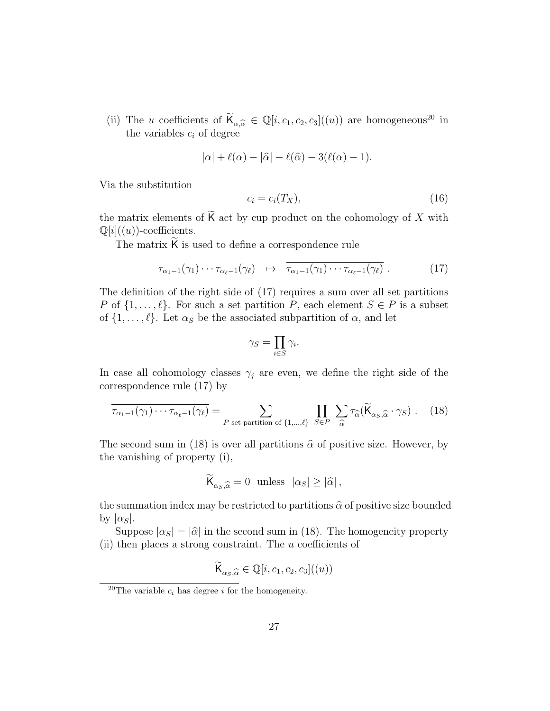(ii) The u coefficients of  $\widetilde{\mathsf{K}}_{\alpha,\widehat{\alpha}} \in \mathbb{Q}[i,c_1,c_2,c_3]((u))$  are homogeneous<sup>20</sup> in the variables c, of degree the variables  $c_i$  of degree

$$
|\alpha| + \ell(\alpha) - |\widehat{\alpha}| - \ell(\widehat{\alpha}) - 3(\ell(\alpha) - 1).
$$

Via the substitution

$$
c_i = c_i(T_X),\tag{16}
$$

the matrix elements of  $\mathsf K$  act by cup product on the cohomology of  $X$  with  $\mathbb{Q}[i]$ ((u))-coefficients.

The matrix  $K$  is used to define a correspondence rule

$$
\tau_{\alpha_1-1}(\gamma_1)\cdots\tau_{\alpha_\ell-1}(\gamma_\ell) \quad \mapsto \quad \overline{\tau_{\alpha_1-1}(\gamma_1)\cdots\tau_{\alpha_\ell-1}(\gamma_\ell)}\ . \tag{17}
$$

The definition of the right side of (17) requires a sum over all set partitions P of  $\{1, \ldots, \ell\}$ . For such a set partition P, each element  $S \in P$  is a subset of  $\{1, \ldots, \ell\}$ . Let  $\alpha_S$  be the associated subpartition of  $\alpha$ , and let

$$
\gamma_S = \prod_{i \in S} \gamma_i.
$$

In case all cohomology classes  $\gamma_j$  are even, we define the right side of the correspondence rule (17) by

$$
\overline{\tau_{\alpha_1-1}(\gamma_1)\cdots\tau_{\alpha_\ell-1}(\gamma_\ell)} = \sum_{P \text{ set partition of } \{1,\dots,\ell\}} \prod_{S \in P} \sum_{\widehat{\alpha}} \tau_{\widehat{\alpha}}(\widetilde{\mathsf{K}}_{\alpha_S,\widehat{\alpha}} \cdot \gamma_S). \tag{18}
$$

The second sum in (18) is over all partitions  $\hat{\alpha}$  of positive size. However, by the vanishing of property (i),

$$
\widetilde{\mathsf{K}}_{\alpha_S,\widehat{\alpha}} = 0 \text{ unless } |\alpha_S| \ge |\widehat{\alpha}|,
$$

the summation index may be restricted to partitions  $\hat{\alpha}$  of positive size bounded by  $|\alpha_S|$ .

Suppose  $|\alpha_S| = |\hat{\alpha}|$  in the second sum in (18). The homogeneity property (ii) then places a strong constraint. The u coefficients of

$$
\widetilde{\mathsf{K}}_{\alpha_S,\widehat{\alpha}} \in \mathbb{Q}[i,c_1,c_2,c_3]((u))
$$

<sup>&</sup>lt;sup>20</sup>The variable  $c_i$  has degree i for the homogeneity.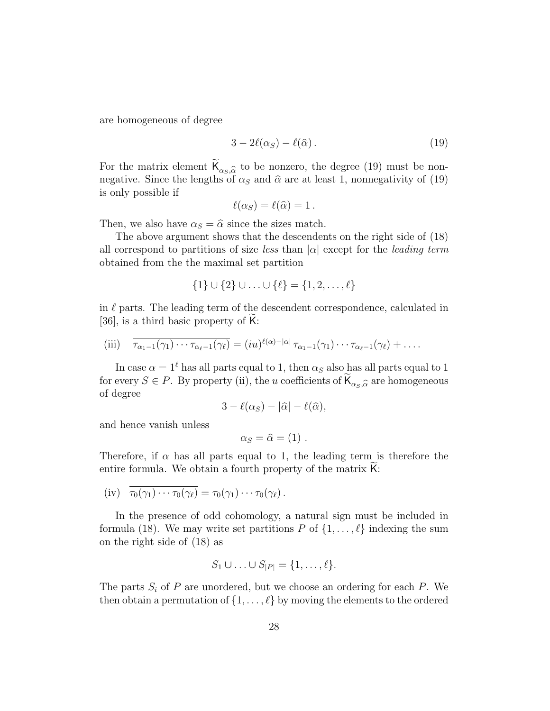are homogeneous of degree

$$
3 - 2\ell(\alpha_S) - \ell(\widehat{\alpha}).\tag{19}
$$

For the matrix element  $\mathsf{K}_{\alpha_S,\widehat{\alpha}}$  to be nonzero, the degree (19) must be non- $\alpha_S, \widehat{\alpha}$ <br>s of negative. Since the lengths of  $\alpha_S$  and  $\hat{\alpha}$  are at least 1, nonnegativity of (19) is only possible if

$$
\ell(\alpha_S)=\ell(\widehat{\alpha})=1.
$$

Then, we also have  $\alpha_S = \hat{\alpha}$  since the sizes match.

The above argument shows that the descendents on the right side of (18) all correspond to partitions of size less than  $|\alpha|$  except for the leading term obtained from the the maximal set partition

$$
\{1\} \cup \{2\} \cup \ldots \cup \{\ell\} = \{1,2,\ldots,\ell\}
$$

in  $\ell$  parts. The leading term of the descendent correspondence, calculated in [36], is a third basic property of  $K$ :

(iii) 
$$
\overline{\tau_{\alpha_1-1}(\gamma_1)\cdots\tau_{\alpha_\ell-1}(\gamma_\ell)} = (iu)^{\ell(\alpha)-|\alpha|} \tau_{\alpha_1-1}(\gamma_1)\cdots\tau_{\alpha_\ell-1}(\gamma_\ell) + \ldots
$$

In case  $\alpha = 1^{\ell}$  has all parts equal to 1, then  $\alpha_S$  also has all parts equal to 1 for every  $S \in P$ . By property (ii), the u coefficients of  $\mathsf{K}_{\alpha_S,\widehat{\alpha}}$  are homogeneous of degree of degree

$$
3 - \ell(\alpha_S) - |\widehat{\alpha}| - \ell(\widehat{\alpha}),
$$

and hence vanish unless

$$
\alpha_S = \widehat{\alpha} = (1) \; .
$$

Therefore, if  $\alpha$  has all parts equal to 1, the leading term is therefore the entire formula. We obtain a fourth property of the matrix  $\mathsf{K}$ :

(iv) 
$$
\overline{\tau_0(\gamma_1)\cdots\tau_0(\gamma_\ell)} = \tau_0(\gamma_1)\cdots\tau_0(\gamma_\ell)
$$
.

In the presence of odd cohomology, a natural sign must be included in formula (18). We may write set partitions P of  $\{1, \ldots, \ell\}$  indexing the sum on the right side of (18) as

$$
S_1 \cup \ldots \cup S_{|P|} = \{1, \ldots, \ell\}.
$$

The parts  $S_i$  of  $P$  are unordered, but we choose an ordering for each  $P$ . We then obtain a permutation of  $\{1, \ldots, \ell\}$  by moving the elements to the ordered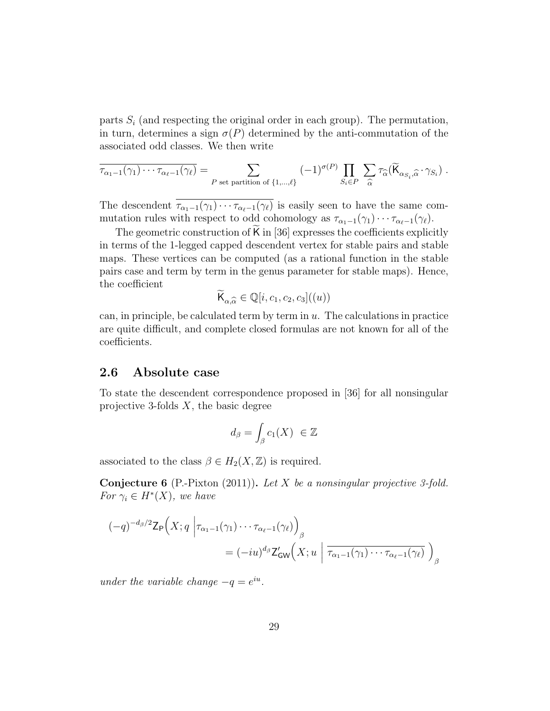parts  $S_i$  (and respecting the original order in each group). The permutation, in turn, determines a sign  $\sigma(P)$  determined by the anti-commutation of the associated odd classes. We then write

$$
\overline{\tau_{\alpha_1-1}(\gamma_1)\cdots\tau_{\alpha_\ell-1}(\gamma_\ell)} = \sum_{P \text{ set partition of }\{1,\dots,\ell\}} (-1)^{\sigma(P)} \prod_{S_i \in P} \sum_{\widehat{\alpha}} \tau_{\widehat{\alpha}}(\widetilde{\mathsf{K}}_{\alpha_{S_i},\widehat{\alpha}}\cdot\gamma_{S_i}) .
$$

The descendent  $\overline{\tau_{\alpha_1-1}(\gamma_1)\cdots\tau_{\alpha_\ell-1}(\gamma_\ell)}$  is easily seen to have the same commutation rules with respect to odd cohomology as  $\tau_{\alpha_1-1}(\gamma_1)\cdots\tau_{\alpha_\ell-1}(\gamma_\ell)$ .

The geometric construction of  $K$  in [36] expresses the coefficients explicitly in terms of the 1-legged capped descendent vertex for stable pairs and stable maps. These vertices can be computed (as a rational function in the stable pairs case and term by term in the genus parameter for stable maps). Hence, the coefficient

$$
\widetilde{\mathsf{K}}_{\alpha,\widehat{\alpha}} \in \mathbb{Q}[i,c_1,c_2,c_3]((u))
$$

can, in principle, be calculated term by term in  $u$ . The calculations in practice are quite difficult, and complete closed formulas are not known for all of the coefficients.

#### 2.6 Absolute case

To state the descendent correspondence proposed in [36] for all nonsingular projective 3-folds  $X$ , the basic degree

$$
d_{\beta} = \int_{\beta} c_1(X) \in \mathbb{Z}
$$

associated to the class  $\beta \in H_2(X, \mathbb{Z})$  is required.

**Conjecture 6** (P.-Pixton (2011)). Let X be a nonsingular projective 3-fold. For  $\gamma_i \in H^*(X)$ , we have

$$
(-q)^{-d_{\beta}/2} \mathsf{Z}_{\mathsf{P}}\Big(X; q \left| \tau_{\alpha_1 - 1}(\gamma_1) \cdots \tau_{\alpha_\ell - 1}(\gamma_\ell) \right)_{\beta}
$$
  
=  $(-i u)^{d_{\beta}} \mathsf{Z}_{\mathsf{GW}}'\Big(X; u \left| \overline{\tau_{\alpha_1 - 1}(\gamma_1) \cdots \tau_{\alpha_\ell - 1}(\gamma_\ell)} \right)_{\beta}$ 

under the variable change  $-q = e^{iu}$ .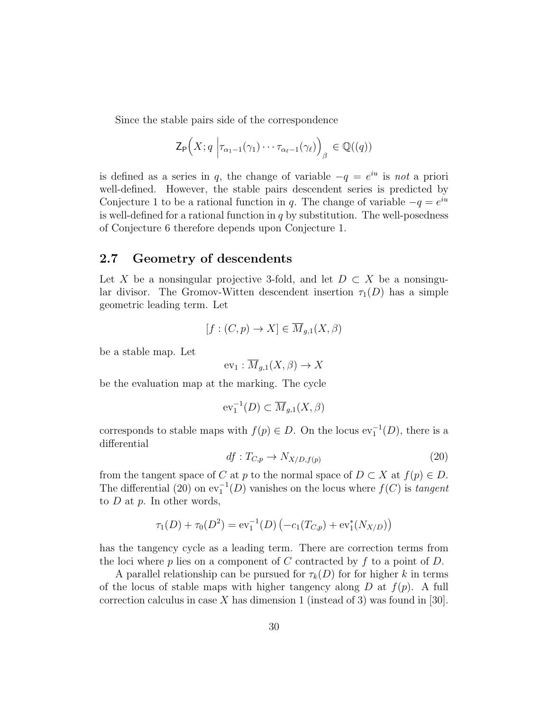Since the stable pairs side of the correspondence

$$
\mathsf{Z}_{\mathsf{P}}\Big(X;q \Big| \tau_{\alpha_1-1}(\gamma_1)\cdots\tau_{\alpha_\ell-1}(\gamma_\ell)\Big)_{\beta}\in\mathbb{Q}((q))
$$

is defined as a series in q, the change of variable  $-q = e^{iu}$  is not a priori well-defined. However, the stable pairs descendent series is predicted by Conjecture 1 to be a rational function in q. The change of variable  $-q = e^{iu}$ is well-defined for a rational function in  $q$  by substitution. The well-posedness of Conjecture 6 therefore depends upon Conjecture 1.

#### 2.7 Geometry of descendents

Let X be a nonsingular projective 3-fold, and let  $D \subset X$  be a nonsingular divisor. The Gromov-Witten descendent insertion  $\tau_1(D)$  has a simple geometric leading term. Let

$$
[f:(C,p) \to X] \in \overline{M}_{g,1}(X,\beta)
$$

be a stable map. Let

$$
ev_1: \overline{M}_{g,1}(X,\beta) \to X
$$

be the evaluation map at the marking. The cycle

$$
\operatorname{ev}_1^{-1}(D) \subset \overline{M}_{g,1}(X,\beta)
$$

corresponds to stable maps with  $f(p) \in D$ . On the locus  $ev_1^{-1}(D)$ , there is a differential

$$
df: T_{C,p} \to N_{X/D,f(p)} \tag{20}
$$

from the tangent space of C at p to the normal space of  $D \subset X$  at  $f(p) \in D$ . The differential (20) on  $ev_1^{-1}(D)$  vanishes on the locus where  $f(C)$  is *tangent* to  $D$  at  $p$ . In other words,

$$
\tau_1(D) + \tau_0(D^2) = \mathrm{ev}_1^{-1}(D) \left( -c_1(T_{C,p}) + \mathrm{ev}_1^*(N_{X/D}) \right)
$$

has the tangency cycle as a leading term. There are correction terms from the loci where p lies on a component of C contracted by f to a point of D.

A parallel relationship can be pursued for  $\tau_k(D)$  for for higher k in terms of the locus of stable maps with higher tangency along  $D$  at  $f(p)$ . A full correction calculus in case X has dimension 1 (instead of 3) was found in [30].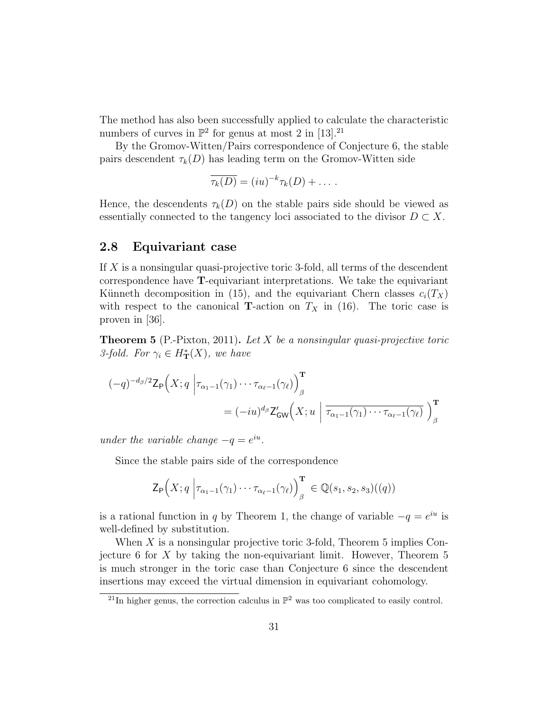The method has also been successfully applied to calculate the characteristic numbers of curves in  $\mathbb{P}^2$  for genus at most 2 in [13].<sup>21</sup>

By the Gromov-Witten/Pairs correspondence of Conjecture 6, the stable pairs descendent  $\tau_k(D)$  has leading term on the Gromov-Witten side

$$
\overline{\tau_k(D)} = (iu)^{-k} \tau_k(D) + \dots
$$

Hence, the descendents  $\tau_k(D)$  on the stable pairs side should be viewed as essentially connected to the tangency loci associated to the divisor  $D \subset X$ .

#### 2.8 Equivariant case

If X is a nonsingular quasi-projective toric 3-fold, all terms of the descendent correspondence have T-equivariant interpretations. We take the equivariant Künneth decomposition in (15), and the equivariant Chern classes  $c_i(T_X)$ with respect to the canonical **T**-action on  $T_X$  in (16). The toric case is proven in [36].

**Theorem 5** (P.-Pixton, 2011). Let  $X$  be a nonsingular quasi-projective toric 3-fold. For  $\gamma_i \in H^*_{\mathbf{T}}(X)$ , we have

$$
(-q)^{-d_{\beta}/2} \mathsf{Z}_{\mathsf{P}}\Big(X; q \Big| \tau_{\alpha_1 - 1}(\gamma_1) \cdots \tau_{\alpha_\ell - 1}(\gamma_\ell) \Big)_{\beta}^{\mathbf{T}} = (-iu)^{d_{\beta}} \mathsf{Z}_{\mathsf{GW}}'\Big(X; u \Big| \overline{\tau_{\alpha_1 - 1}(\gamma_1) \cdots \tau_{\alpha_\ell - 1}(\gamma_\ell)} \Big)_{\beta}^{\mathbf{T}}
$$

under the variable change  $-q = e^{iu}$ .

Since the stable pairs side of the correspondence

$$
\mathsf{Z}_{\mathsf{P}}\Big(X;q \Big| \tau_{\alpha_1-1}(\gamma_1)\cdots\tau_{\alpha_\ell-1}(\gamma_\ell)\Big)_{\beta}^{\mathbf{T}} \in \mathbb{Q}(s_1,s_2,s_3)((q))
$$

is a rational function in q by Theorem 1, the change of variable  $-q = e^{iu}$  is well-defined by substitution.

When  $X$  is a nonsingular projective toric 3-fold, Theorem 5 implies Conjecture 6 for  $X$  by taking the non-equivariant limit. However, Theorem 5 is much stronger in the toric case than Conjecture 6 since the descendent insertions may exceed the virtual dimension in equivariant cohomology.

<sup>&</sup>lt;sup>21</sup>In higher genus, the correction calculus in  $\mathbb{P}^2$  was too complicated to easily control.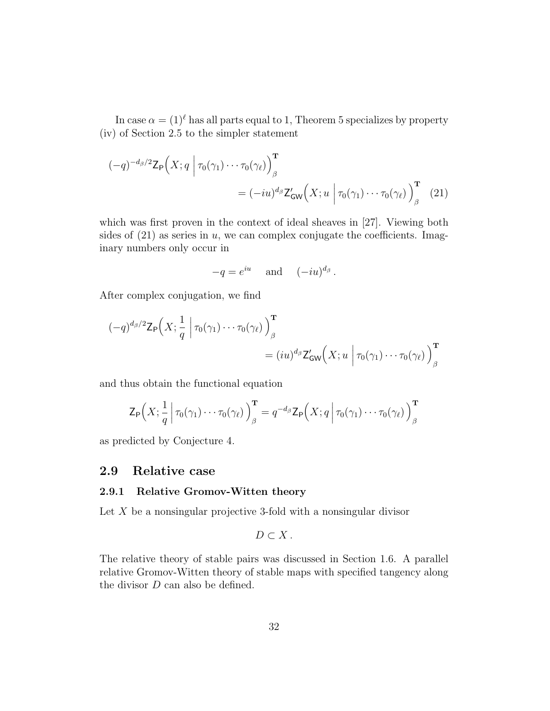In case  $\alpha = (1)^{\ell}$  has all parts equal to 1, Theorem 5 specializes by property (iv) of Section 2.5 to the simpler statement

$$
(-q)^{-d_{\beta}/2} \mathsf{Z}_{\mathsf{P}}\Big(X; q \Big| \tau_0(\gamma_1) \cdots \tau_0(\gamma_\ell) \Big)_{\beta}^{\mathbf{T}} = (-iu)^{d_{\beta}} \mathsf{Z}_{\mathsf{GW}}'\Big(X; u \Big| \tau_0(\gamma_1) \cdots \tau_0(\gamma_\ell) \Big)_{\beta}^{\mathbf{T}} \tag{21}
$$

which was first proven in the context of ideal sheaves in [27]. Viewing both sides of  $(21)$  as series in u, we can complex conjugate the coefficients. Imaginary numbers only occur in

$$
-q = e^{iu} \quad \text{and} \quad (-iu)^{d_\beta}.
$$

After complex conjugation, we find

$$
(-q)^{d_{\beta}/2} \mathsf{Z}_{\mathsf{P}}\Big(X; \frac{1}{q} \Big| \tau_0(\gamma_1) \cdots \tau_0(\gamma_{\ell})\Big)_{\beta}^{\mathbf{T}} = (iu)^{d_{\beta}} \mathsf{Z}_{\mathsf{GW}}'\Big(X; u \Big| \tau_0(\gamma_1) \cdots \tau_0(\gamma_{\ell})\Big)_{\beta}^{\mathbf{T}}
$$

and thus obtain the functional equation

$$
\mathsf{Z}_{\mathsf{P}}\Big(X;\frac{1}{q} \Big|\,\tau_0(\gamma_1)\cdots\tau_0(\gamma_\ell)\Big)_{\beta}^{\mathbf{T}}=q^{-d_{\beta}}\mathsf{Z}_{\mathsf{P}}\Big(X;q \Big|\,\tau_0(\gamma_1)\cdots\tau_0(\gamma_\ell)\Big)_{\beta}^{\mathbf{T}}
$$

as predicted by Conjecture 4.

#### 2.9 Relative case

#### 2.9.1 Relative Gromov-Witten theory

Let  $X$  be a nonsingular projective 3-fold with a nonsingular divisor

$$
D\subset X\,.
$$

The relative theory of stable pairs was discussed in Section 1.6. A parallel relative Gromov-Witten theory of stable maps with specified tangency along the divisor D can also be defined.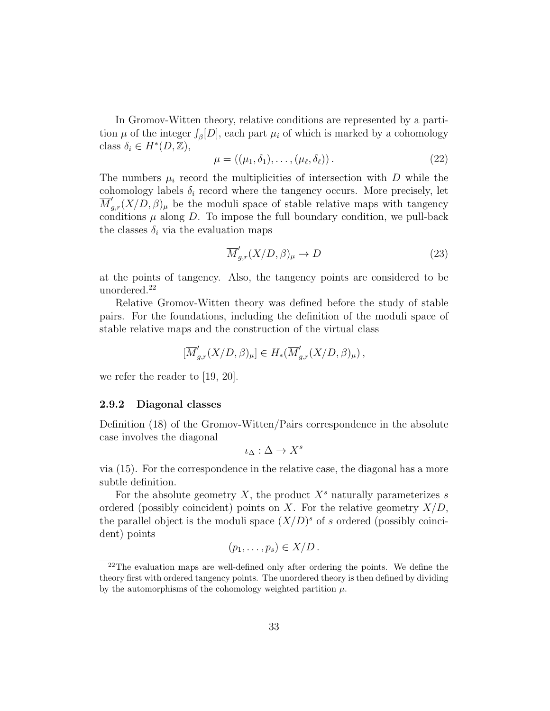In Gromov-Witten theory, relative conditions are represented by a partition  $\mu$  of the integer  $\int_{\beta}[D]$ , each part  $\mu_i$  of which is marked by a cohomology class  $\delta_i \in H^*(D, \mathbb{Z}),$ 

$$
\mu = ((\mu_1, \delta_1), \dots, (\mu_\ell, \delta_\ell)). \tag{22}
$$

The numbers  $\mu_i$  record the multiplicities of intersection with D while the cohomology labels  $\delta_i$  record where the tangency occurs. More precisely, let  $\overline{M}_{g,r}'(X/\overline{D},\beta)_{\mu}$  be the moduli space of stable relative maps with tangency conditions  $\mu$  along  $D$ . To impose the full boundary condition, we pull-back the classes  $\delta_i$  via the evaluation maps

$$
\overline{M}'_{g,r}(X/D,\beta)_{\mu} \to D \tag{23}
$$

at the points of tangency. Also, the tangency points are considered to be unordered.<sup>22</sup>

Relative Gromov-Witten theory was defined before the study of stable pairs. For the foundations, including the definition of the moduli space of stable relative maps and the construction of the virtual class

$$
[\overline{M}'_{g,r}(X/D,\beta)_{\mu}] \in H_*(\overline{M}'_{g,r}(X/D,\beta)_{\mu}),
$$

we refer the reader to [19, 20].

#### 2.9.2 Diagonal classes

Definition (18) of the Gromov-Witten/Pairs correspondence in the absolute case involves the diagonal

$$
\iota_\Delta:\Delta\to X^s
$$

via (15). For the correspondence in the relative case, the diagonal has a more subtle definition.

For the absolute geometry X, the product  $X^s$  naturally parameterizes s ordered (possibly coincident) points on X. For the relative geometry  $X/D$ , the parallel object is the moduli space  $(X/D)^s$  of s ordered (possibly coincident) points

$$
(p_1,\ldots,p_s)\in X/D.
$$

<sup>&</sup>lt;sup>22</sup>The evaluation maps are well-defined only after ordering the points. We define the theory first with ordered tangency points. The unordered theory is then defined by dividing by the automorphisms of the cohomology weighted partition  $\mu$ .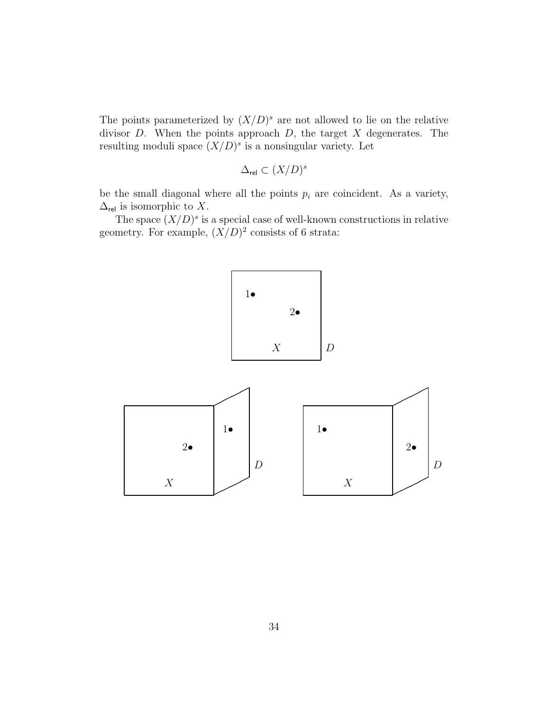The points parameterized by  $(X/D)^s$  are not allowed to lie on the relative divisor  $D$ . When the points approach  $D$ , the target  $X$  degenerates. The resulting moduli space  $(X/D)^s$  is a nonsingular variety. Let

$$
\Delta_{\text{rel}} \subset (X/D)^s
$$

be the small diagonal where all the points  $p_i$  are coincident. As a variety,  $\Delta_{\text{rel}}$  is isomorphic to X.

The space  $(X/D)^s$  is a special case of well-known constructions in relative geometry. For example,  $(X/D)^2$  consists of 6 strata:

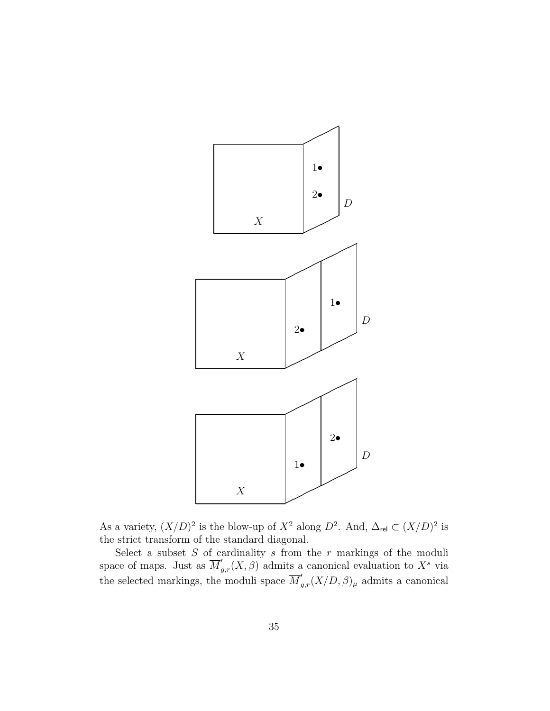

As a variety,  $(X/D)^2$  is the blow-up of  $X^2$  along  $D^2$ . And,  $\Delta_{rel} \subset (X/D)^2$  is the strict transform of the standard diagonal.

Select a subset  $S$  of cardinality  $s$  from the  $r$  markings of the moduli space of maps. Just as  $\overline{M}'_{g,r}(X,\beta)$  admits a canonical evaluation to  $X^s$  via the selected markings, the moduli space  $\overline{M}'_{g,r}(X/D, \beta)_{\mu}$  admits a canonical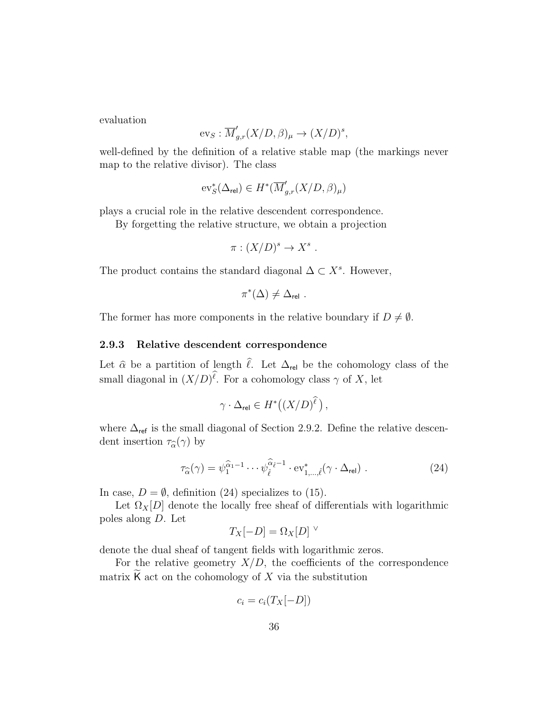evaluation

$$
\text{ev}_S: \overline{M}'_{g,r}(X/D, \beta)_{\mu} \to (X/D)^s,
$$

well-defined by the definition of a relative stable map (the markings never map to the relative divisor). The class

$$
\text{ev}_S^*(\Delta_{\text{rel}})\in H^*(\overline{M}'_{g,r}(X/D,\beta)_\mu)
$$

plays a crucial role in the relative descendent correspondence.

By forgetting the relative structure, we obtain a projection

$$
\pi : (X/D)^s \to X^s .
$$

The product contains the standard diagonal  $\Delta \subset X^s$ . However,

$$
\pi^*(\Delta) \neq \Delta_{\mathrm{rel}}\ .
$$

The former has more components in the relative boundary if  $D \neq \emptyset$ .

#### 2.9.3 Relative descendent correspondence

Let  $\hat{\alpha}$  be a partition of length  $\hat{\ell}$ . Let  $\Delta_{rel}$  be the cohomology class of the small diagonal in  $(X/D)^{\ell}$ . For a cohomology class  $\gamma$  of X, let

$$
\gamma \cdot \Delta_{\text{rel}} \in H^*\big( (X/D)^{\widehat{\ell}} \big) \,,
$$

where  $\Delta_{\mathsf{ref}}$  is the small diagonal of Section 2.9.2. Define the relative descendent insertion  $\tau_{\widehat{\alpha}}(\gamma)$  by

$$
\tau_{\widehat{\alpha}}(\gamma) = \psi_1^{\widehat{\alpha}_1 - 1} \cdots \psi_{\widehat{\ell}}^{\widehat{\alpha}_{\widehat{\ell}} - 1} \cdot \mathrm{ev}_{1,\dots,\widehat{\ell}}^*(\gamma \cdot \Delta_{\mathrm{rel}}) \tag{24}
$$

In case,  $D = \emptyset$ , definition (24) specializes to (15).

Let  $\Omega_X[D]$  denote the locally free sheaf of differentials with logarithmic poles along D. Let

$$
T_X[-D] = \Omega_X[D]^\vee
$$

denote the dual sheaf of tangent fields with logarithmic zeros.

For the relative geometry  $X/D$ , the coefficients of the correspondence matrix  $\mathsf K$  act on the cohomology of  $X$  via the substitution

$$
c_i = c_i(T_X[-D])
$$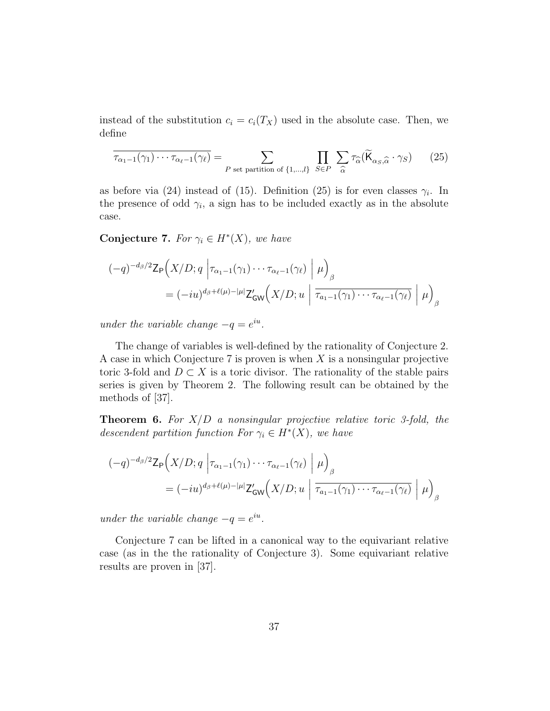instead of the substitution  $c_i = c_i(T_X)$  used in the absolute case. Then, we define

$$
\tau_{\alpha_1 - 1}(\gamma_1) \cdots \tau_{\alpha_\ell - 1}(\gamma_\ell) = \sum_{P \text{ set partition of } \{1, \dots, l\}} \prod_{S \in P} \sum_{\widehat{\alpha}} \tau_{\widehat{\alpha}}(\widetilde{\mathsf{K}}_{\alpha_S, \widehat{\alpha}} \cdot \gamma_S) \qquad (25)
$$

as before via (24) instead of (15). Definition (25) is for even classes  $\gamma_i$ . In the presence of odd  $\gamma_i$ , a sign has to be included exactly as in the absolute case.

Conjecture 7. For  $\gamma_i \in H^*(X)$ , we have

$$
(-q)^{-d_{\beta}/2} \mathsf{Z}_{\mathsf{P}}\Big(X/D; q \left| \tau_{\alpha_1 - 1}(\gamma_1) \cdots \tau_{\alpha_\ell - 1}(\gamma_\ell) \right| \mu \Big)_{\beta}
$$
  
=  $(-i u)^{d_{\beta} + \ell(\mu) - |\mu|} \mathsf{Z}_{\mathsf{GW}}'\Big(X/D; u \left| \overline{\tau_{a_1 - 1}(\gamma_1) \cdots \tau_{\alpha_\ell - 1}(\gamma_\ell)} \right| \mu \Big)_{\beta}$ 

under the variable change  $-q = e^{iu}$ .

The change of variables is well-defined by the rationality of Conjecture 2. A case in which Conjecture 7 is proven is when  $X$  is a nonsingular projective toric 3-fold and  $D \subset X$  is a toric divisor. The rationality of the stable pairs series is given by Theorem 2. The following result can be obtained by the methods of [37].

**Theorem 6.** For  $X/D$  a nonsingular projective relative toric 3-fold, the descendent partition function For  $\gamma_i \in H^*(X)$ , we have

$$
(-q)^{-d_{\beta}/2} \mathsf{Z}_{\mathsf{P}}\Big(X/D; q \left| \tau_{\alpha_{1}-1}(\gamma_{1}) \cdots \tau_{\alpha_{\ell}-1}(\gamma_{\ell}) \right| \mu \Big)_{\beta}
$$
  
=  $(-i u)^{d_{\beta}+\ell(\mu)-|\mu|} \mathsf{Z}_{\mathsf{GW}}'\Big(X/D; u \left| \overline{\tau_{a_{1}-1}(\gamma_{1}) \cdots \tau_{\alpha_{\ell}-1}(\gamma_{\ell})} \right| \mu \Big)_{\beta}$ 

under the variable change  $-q = e^{iu}$ .

Conjecture 7 can be lifted in a canonical way to the equivariant relative case (as in the the rationality of Conjecture 3). Some equivariant relative results are proven in [37].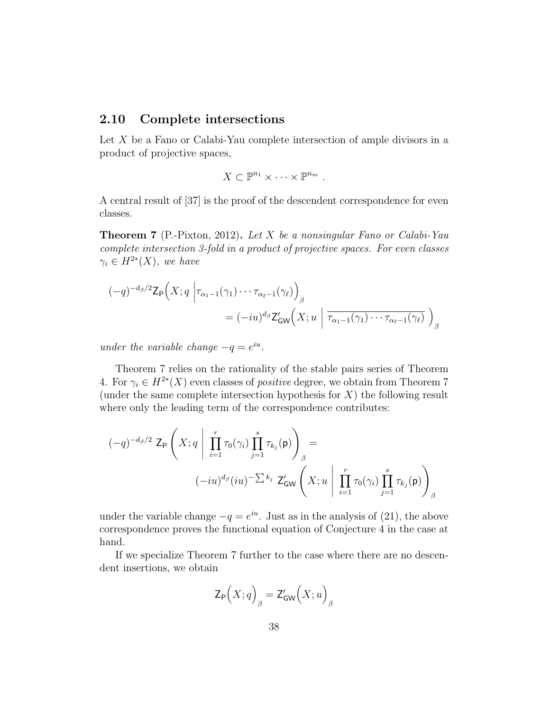#### 2.10 Complete intersections

Let X be a Fano or Calabi-Yau complete intersection of ample divisors in a product of projective spaces,

$$
X\subset\mathbb{P}^{n_1}\times\cdots\times\mathbb{P}^{n_m}.
$$

A central result of [37] is the proof of the descendent correspondence for even classes.

**Theorem 7** (P.-Pixton, 2012). Let X be a nonsingular Fano or Calabi-Yau complete intersection 3-fold in a product of projective spaces. For even classes  $\gamma_i \in H^{2*}(X)$ , we have

$$
(-q)^{-d_{\beta}/2} \mathsf{Z}_{\mathsf{P}}\Big(X; q \Big| \tau_{\alpha_1 - 1}(\gamma_1) \cdots \tau_{\alpha_\ell - 1}(\gamma_\ell) \Big)_{\beta}
$$
  
=  $(-i u)^{d_{\beta}} \mathsf{Z}_{\mathsf{GW}}'(X; u \Big| \overline{\tau_{\alpha_1 - 1}(\gamma_1) \cdots \tau_{\alpha_\ell - 1}(\gamma_\ell)} \Big)_{\beta}$ 

under the variable change  $-q = e^{iu}$ .

Theorem 7 relies on the rationality of the stable pairs series of Theorem 4. For  $\gamma_i \in H^{2*}(X)$  even classes of *positive* degree, we obtain from Theorem 7 (under the same complete intersection hypothesis for  $X$ ) the following result where only the leading term of the correspondence contributes:

$$
(-q)^{-d_{\beta}/2} \mathsf{Z}_{\mathsf{P}}\left(X; q \mid \prod_{i=1}^{r} \tau_{0}(\gamma_{i}) \prod_{j=1}^{s} \tau_{k_{j}}(\mathsf{p})\right)_{\beta} =
$$

$$
(-iu)^{d_{\beta}}(iu)^{-\sum k_{j}} \mathsf{Z}_{\mathsf{GW}}'\left(X; u \mid \prod_{i=1}^{r} \tau_{0}(\gamma_{i}) \prod_{j=1}^{s} \tau_{k_{j}}(\mathsf{p})\right)_{\beta}
$$

under the variable change  $-q = e^{iu}$ . Just as in the analysis of (21), the above correspondence proves the functional equation of Conjecture 4 in the case at hand.

If we specialize Theorem 7 further to the case where there are no descendent insertions, we obtain

$$
\mathsf{Z}_{\mathsf{P}}\Bigl(X;q\Bigr)_{\beta}=\mathsf{Z}^{\prime}_{\mathsf{GW}}\Bigl(X;u\Bigr)_{\beta}
$$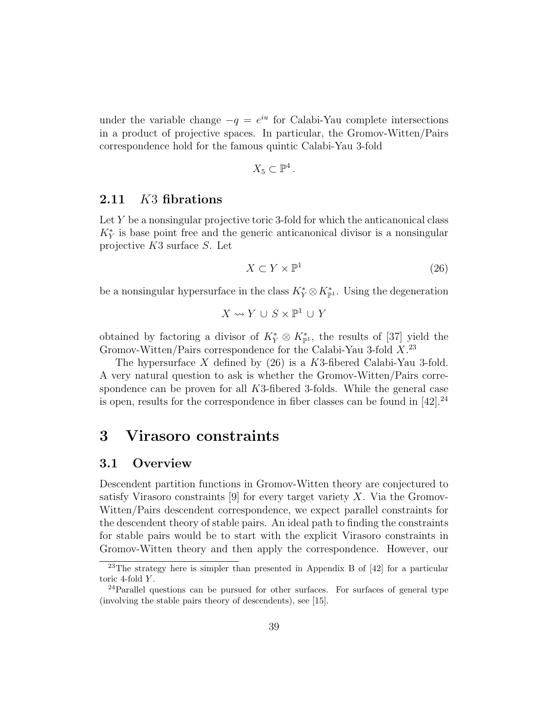under the variable change  $-q = e^{iu}$  for Calabi-Yau complete intersections in a product of projective spaces. In particular, the Gromov-Witten/Pairs correspondence hold for the famous quintic Calabi-Yau 3-fold

$$
X_5\subset\mathbb{P}^4.
$$

#### 2.11 K3 fibrations

Let Y be a nonsingular projective toric 3-fold for which the anticanonical class  $K_Y^*$  is base point free and the generic anticanonical divisor is a nonsingular projective K3 surface S. Let

$$
X \subset Y \times \mathbb{P}^1 \tag{26}
$$

be a nonsingular hypersurface in the class  $K_Y^* \otimes K_{\mathbb{P}^1}^*$ . Using the degeneration

$$
X\leadsto Y\,\cup\,S\times\mathbb{P}^1\,\cup\,Y
$$

obtained by factoring a divisor of  $K_Y^* \otimes K_{\mathbb{P}^1}^*$ , the results of [37] yield the Gromov-Witten/Pairs correspondence for the Calabi-Yau 3-fold X<sup>23</sup>

The hypersurface X defined by  $(26)$  is a K3-fibered Calabi-Yau 3-fold. A very natural question to ask is whether the Gromov-Witten/Pairs correspondence can be proven for all K3-fibered 3-folds. While the general case is open, results for the correspondence in fiber classes can be found in  $[42].^{24}$ 

## 3 Virasoro constraints

#### 3.1 Overview

Descendent partition functions in Gromov-Witten theory are conjectured to satisfy Virasoro constraints [9] for every target variety  $X$ . Via the Gromov-Witten/Pairs descendent correspondence, we expect parallel constraints for the descendent theory of stable pairs. An ideal path to finding the constraints for stable pairs would be to start with the explicit Virasoro constraints in Gromov-Witten theory and then apply the correspondence. However, our

<sup>23</sup>The strategy here is simpler than presented in Appendix B of [42] for a particular toric 4-fold Y.

 $^{24}$ Parallel questions can be pursued for other surfaces. For surfaces of general type (involving the stable pairs theory of descendents), see [15].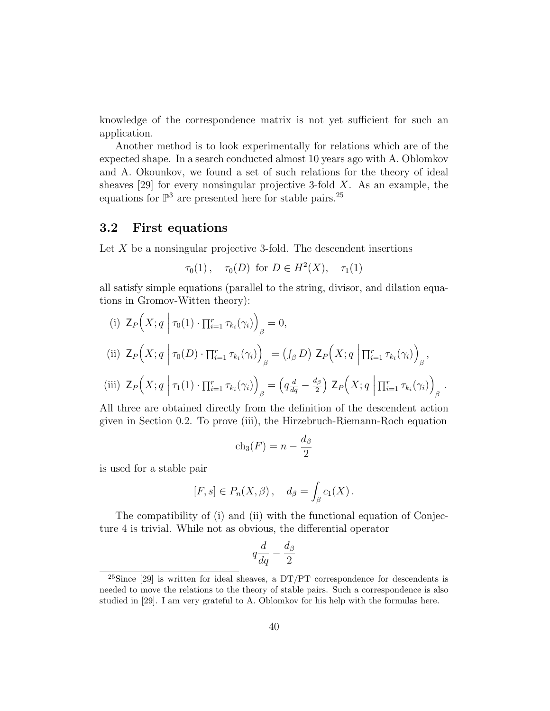knowledge of the correspondence matrix is not yet sufficient for such an application.

Another method is to look experimentally for relations which are of the expected shape. In a search conducted almost 10 years ago with A. Oblomkov and A. Okounkov, we found a set of such relations for the theory of ideal sheaves [29] for every nonsingular projective 3-fold  $X$ . As an example, the equations for  $\mathbb{P}^3$  are presented here for stable pairs.<sup>25</sup>

#### 3.2 First equations

Let  $X$  be a nonsingular projective 3-fold. The descendent insertions

$$
\tau_0(1)
$$
,  $\tau_0(D)$  for  $D \in H^2(X)$ ,  $\tau_1(1)$ 

all satisfy simple equations (parallel to the string, divisor, and dilation equations in Gromov-Witten theory):

(i) 
$$
\mathbb{Z}_P\Big(X; q \mid \tau_0(1) \cdot \prod_{i=1}^r \tau_{k_i}(\gamma_i)\Big)_{\beta} = 0,
$$
  
\n(ii)  $\mathbb{Z}_P\Big(X; q \mid \tau_0(D) \cdot \prod_{i=1}^r \tau_{k_i}(\gamma_i)\Big)_{\beta} = (\int_{\beta} D) \mathbb{Z}_P\Big(X; q \mid \prod_{i=1}^r \tau_{k_i}(\gamma_i)\Big)_{\beta},$   
\n(iii)  $\mathbb{Z}_P\Big(X; q \mid \tau_1(1) \cdot \prod_{i=1}^r \tau_{k_i}(\gamma_i)\Big)_{\beta} = \left(q\frac{d}{dq} - \frac{dg}{2}\right) \mathbb{Z}_P\Big(X; q \mid \prod_{i=1}^r \tau_{k_i}(\gamma_i)\Big)_{\beta}$ 

All three are obtained directly from the definition of the descendent action given in Section 0.2. To prove (iii), the Hirzebruch-Riemann-Roch equation

.

$$
ch_3(F) = n - \frac{d_\beta}{2}
$$

is used for a stable pair

$$
[F,s]\in P_n(X,\beta)\,,\quad d_\beta=\int_\beta c_1(X)\,.
$$

The compatibility of (i) and (ii) with the functional equation of Conjecture 4 is trivial. While not as obvious, the differential operator

$$
q\frac{d}{dq} - \frac{d_{\beta}}{2}
$$

<sup>&</sup>lt;sup>25</sup>Since [29] is written for ideal sheaves, a  $DT/PT$  correspondence for descendents is needed to move the relations to the theory of stable pairs. Such a correspondence is also studied in [29]. I am very grateful to A. Oblomkov for his help with the formulas here.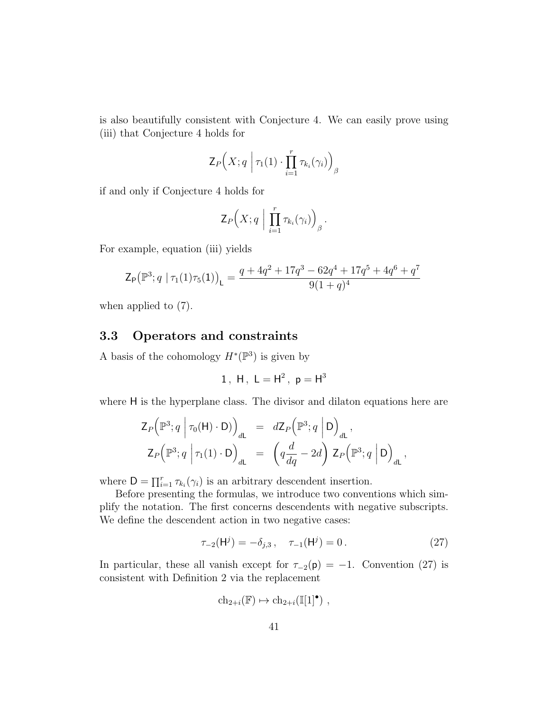is also beautifully consistent with Conjecture 4. We can easily prove using (iii) that Conjecture 4 holds for

$$
\mathsf{Z}_{P}\Big(X;q\;\Big|\;\tau_1(1)\cdot\prod_{i=1}^r\tau_{k_i}(\gamma_i)\Big)_{\beta}
$$

if and only if Conjecture 4 holds for

$$
\mathsf{Z}_{P}\Big(X;q\ \Big|\ \prod_{i=1}^r\tau_{k_i}(\gamma_i)\Big)_{\beta}.
$$

For example, equation (iii) yields

$$
\mathsf{Z}_{\mathsf{P}}\big(\mathbb{P}^3; q \mid \tau_1(1)\tau_5(1)\big)_{\mathsf{L}} = \frac{q + 4q^2 + 17q^3 - 62q^4 + 17q^5 + 4q^6 + q^7}{9(1+q)^4}
$$

when applied to (7).

### 3.3 Operators and constraints

A basis of the cohomology  $H^*(\mathbb{P}^3)$  is given by

1, H, 
$$
L = H^2
$$
,  $p = H^3$ 

where H is the hyperplane class. The divisor and dilaton equations here are

$$
Z_P\left(\mathbb{P}^3; q \middle| \tau_0(\mathsf{H}) \cdot \mathsf{D}\right)_{d\mathsf{L}} = dZ_P\left(\mathbb{P}^3; q \middle| \mathsf{D}\right)_{d\mathsf{L}},
$$
  

$$
Z_P\left(\mathbb{P}^3; q \middle| \tau_1(1) \cdot \mathsf{D}\right)_{d\mathsf{L}} = \left(q\frac{d}{dq} - 2d\right) Z_P\left(\mathbb{P}^3; q \middle| \mathsf{D}\right)_{d\mathsf{L}},
$$

where  $D = \prod_{i=1}^r \tau_{k_i}(\gamma_i)$  is an arbitrary descendent insertion.

Before presenting the formulas, we introduce two conventions which simplify the notation. The first concerns descendents with negative subscripts. We define the descendent action in two negative cases:

$$
\tau_{-2}(\mathsf{H}^j) = -\delta_{j,3}, \quad \tau_{-1}(\mathsf{H}^j) = 0.
$$
 (27)

In particular, these all vanish except for  $\tau_{-2}(\mathsf{p}) = -1$ . Convention (27) is consistent with Definition 2 via the replacement

$$
ch_{2+i}(\mathbb{F}) \mapsto ch_{2+i}(\mathbb{I}[1]^\bullet) ,
$$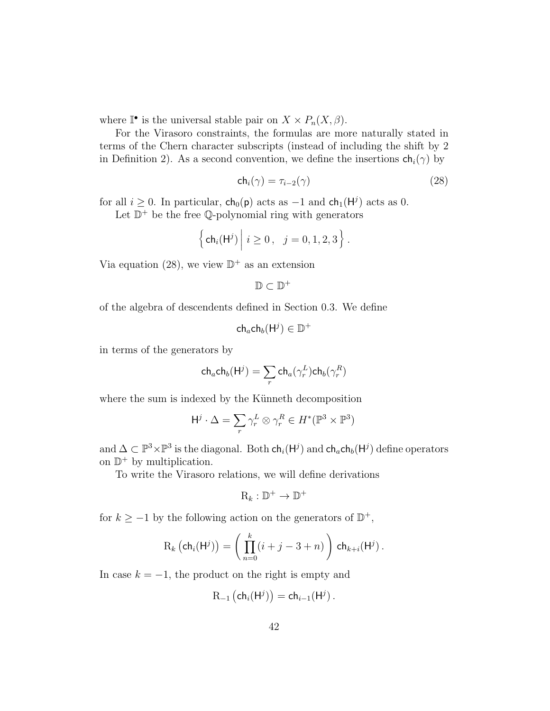where  $\mathbb{I}^{\bullet}$  is the universal stable pair on  $X \times P_n(X, \beta)$ .

For the Virasoro constraints, the formulas are more naturally stated in terms of the Chern character subscripts (instead of including the shift by 2 in Definition 2). As a second convention, we define the insertions  $\mathsf{ch}_i(\gamma)$  by

$$
\mathsf{ch}_i(\gamma) = \tau_{i-2}(\gamma) \tag{28}
$$

for all  $i \geq 0$ . In particular,  $ch_0(p)$  acts as  $-1$  and  $ch_1(H^j)$  acts as 0.

Let  $\mathbb{D}^+$  be the free Q-polynomial ring with generators

$$
\left\{\mathsf{ch}_i(\mathsf{H}^j)\middle|\ i\geq 0\,,\ j=0,1,2,3\right\}.
$$

Via equation (28), we view  $\mathbb{D}^+$  as an extension

$$
\mathbb{D}\subset \mathbb{D}^+
$$

of the algebra of descendents defined in Section 0.3. We define

$$
\mathsf{ch}_a\mathsf{ch}_b(\mathsf{H}^j)\in\mathbb{D}^+
$$

in terms of the generators by

$$
\mathsf{ch}_a\mathsf{ch}_b(\mathsf{H}^j) = \sum_r \mathsf{ch}_a(\gamma_r^L)\mathsf{ch}_b(\gamma_r^R)
$$

where the sum is indexed by the Künneth decomposition

$$
\mathsf{H}^j \cdot \Delta = \sum_r \gamma_r^L \otimes \gamma_r^R \in H^*(\mathbb{P}^3 \times \mathbb{P}^3)
$$

and  $\Delta \subset \mathbb{P}^3 \times \mathbb{P}^3$  is the diagonal. Both  $\mathsf{ch}_i(\mathsf{H}^j)$  and  $\mathsf{ch}_a \mathsf{ch}_b(\mathsf{H}^j)$  define operators on  $\mathbb{D}^+$  by multiplication.

To write the Virasoro relations, we will define derivations

$$
\mathrm{R}_k:\mathbb{D}^+\to\mathbb{D}^+
$$

for  $k \ge -1$  by the following action on the generators of  $\mathbb{D}^+$ ,

$$
R_k\left(\mathsf{ch}_i(\mathsf{H}^j)\right) = \left(\prod_{n=0}^k (i+j-3+n)\right) \mathsf{ch}_{k+i}(\mathsf{H}^j).
$$

In case  $k = -1$ , the product on the right is empty and

$$
R_{-1}(\mathsf{ch}_i(\mathsf{H}^j)) = \mathsf{ch}_{i-1}(\mathsf{H}^j)\,.
$$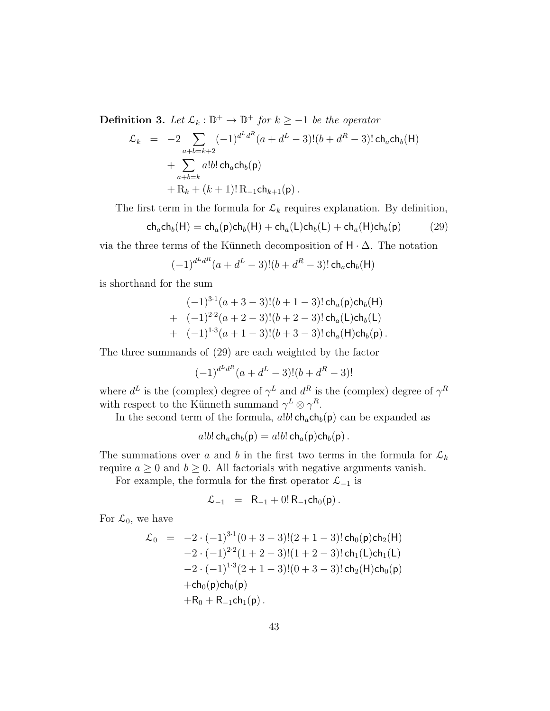**Definition 3.** Let  $\mathcal{L}_k : \mathbb{D}^+ \to \mathbb{D}^+$  for  $k \geq -1$  be the operator

$$
\mathcal{L}_k = -2 \sum_{a+b=k+2} (-1)^{d^L d^R} (a + d^L - 3)!(b + d^R - 3)! \operatorname{ch}_a \operatorname{ch}_b(H) \n+ \sum_{a+b=k} a! b! \operatorname{ch}_a \operatorname{ch}_b(p) \n+ R_k + (k+1)! R_{-1} \operatorname{ch}_{k+1}(p).
$$

The first term in the formula for  $\mathcal{L}_k$  requires explanation. By definition,

$$
ch_a ch_b(H) = ch_a(p) ch_b(H) + ch_a(L) ch_b(L) + ch_a(H) ch_b(p)
$$
 (29)

via the three terms of the Künneth decomposition of  $H \cdot \Delta$ . The notation

$$
(-1)^{d^L d^R} (a + d^L - 3)!(b + d^R - 3)!\operatorname{ch}_a \operatorname{ch}_b(H)
$$

is shorthand for the sum

$$
(-1)^{3\cdot 1}(a+3-3)!(b+1-3)!\operatorname{ch}_a(p)\operatorname{ch}_b(H)
$$
  
+ 
$$
(-1)^{2\cdot 2}(a+2-3)!(b+2-3)!\operatorname{ch}_a(L)\operatorname{ch}_b(L)
$$
  
+ 
$$
(-1)^{1\cdot 3}(a+1-3)!(b+3-3)!\operatorname{ch}_a(H)\operatorname{ch}_b(p).
$$

The three summands of (29) are each weighted by the factor

$$
(-1)^{d^L d^R} (a + d^L - 3)!(b + d^R - 3)!
$$

where  $d^L$  is the (complex) degree of  $\gamma^L$  and  $d^R$  is the (complex) degree of  $\gamma^R$ with respect to the Künneth summand  $\gamma^L \otimes \gamma^R$ .

In the second term of the formula,  $a!b!$  ch<sub>a</sub>ch<sub>b</sub>(p) can be expanded as

$$
a!b! \, \mathsf{ch}_a \mathsf{ch}_b(\mathsf{p}) = a!b! \, \mathsf{ch}_a(\mathsf{p}) \mathsf{ch}_b(\mathsf{p}) \, .
$$

The summations over a and b in the first two terms in the formula for  $\mathcal{L}_k$ require  $a \geq 0$  and  $b \geq 0$ . All factorials with negative arguments vanish.

For example, the formula for the first operator  $\mathcal{L}_{-1}$  is

$$
\mathcal{L}_{-1} = R_{-1} + 0! R_{-1} ch_0(p).
$$

For  $\mathcal{L}_0$ , we have

$$
\mathcal{L}_0 = -2 \cdot (-1)^{3 \cdot 1} (0 + 3 - 3)! (2 + 1 - 3)! \operatorname{ch}_0(\mathsf{p}) \operatorname{ch}_2(\mathsf{H}) \n-2 \cdot (-1)^{2 \cdot 2} (1 + 2 - 3)! (1 + 2 - 3)! \operatorname{ch}_1(\mathsf{L}) \operatorname{ch}_1(\mathsf{L}) \n-2 \cdot (-1)^{1 \cdot 3} (2 + 1 - 3)! (0 + 3 - 3)! \operatorname{ch}_2(\mathsf{H}) \operatorname{ch}_0(\mathsf{p}) \n+ \operatorname{ch}_0(\mathsf{p}) \operatorname{ch}_0(\mathsf{p}) \n+ R_0 + R_{-1} \operatorname{ch}_1(\mathsf{p}).
$$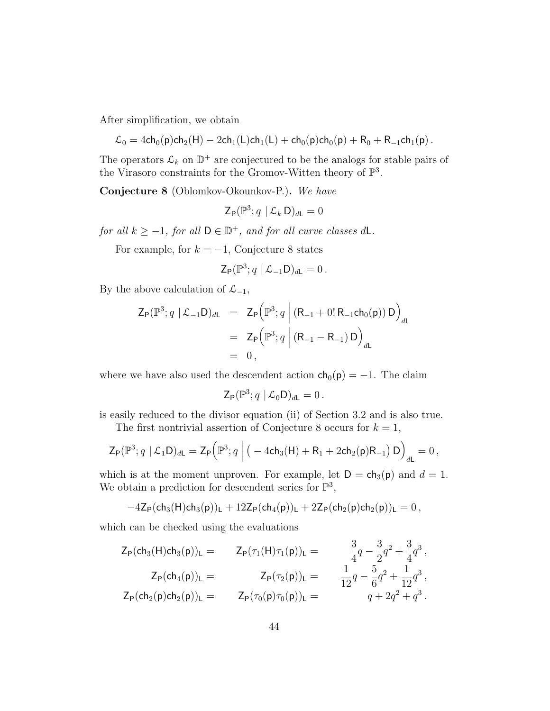After simplification, we obtain

$$
\mathcal{L}_0 = 4\mathsf{ch}_0(\mathsf{p})\mathsf{ch}_2(\mathsf{H}) - 2\mathsf{ch}_1(\mathsf{L})\mathsf{ch}_1(\mathsf{L}) + \mathsf{ch}_0(\mathsf{p})\mathsf{ch}_0(\mathsf{p}) + \mathsf{R}_0 + \mathsf{R}_{-1}\mathsf{ch}_1(\mathsf{p})\,.
$$

The operators  $\mathcal{L}_k$  on  $\mathbb{D}^+$  are conjectured to be the analogs for stable pairs of the Virasoro constraints for the Gromov-Witten theory of  $\mathbb{P}^3$ .

Conjecture 8 (Oblomkov-Okounkov-P.). We have

$$
\mathsf{Z}_{\mathsf{P}}(\mathbb{P}^3; q \mid \mathcal{L}_k \, \mathsf{D})_{d\mathsf{L}} = 0
$$

for all  $k \ge -1$ , for all  $D \in \mathbb{D}^+$ , and for all curve classes dL.

For example, for  $k = -1$ , Conjecture 8 states

$$
\mathsf{Z}_{\mathsf{P}}(\mathbb{P}^3; q \mid \mathcal{L}_{-1} \mathsf{D})_{d\mathsf{L}} = 0.
$$

By the above calculation of  $\mathcal{L}_{-1}$ ,

$$
Z_{P}(\mathbb{P}^{3}; q \mid \mathcal{L}_{-1}D)_{dL} = Z_{P}(\mathbb{P}^{3}; q \mid (R_{-1} + 0! R_{-1}ch_{0}(p)) D)_{dL}
$$
  
=  $Z_{P}(\mathbb{P}^{3}; q \mid (R_{-1} - R_{-1}) D)_{dL}$   
= 0,

where we have also used the descendent action  $ch_0(p) = -1$ . The claim

$$
\mathsf{Z}_{\mathsf{P}}(\mathbb{P}^3; q \mid \mathcal{L}_0 \mathsf{D})_{d\mathsf{L}} = 0.
$$

is easily reduced to the divisor equation (ii) of Section 3.2 and is also true.

The first nontrivial assertion of Conjecture 8 occurs for  $k = 1$ ,

$$
\mathsf{Z}_{\mathsf{P}}(\mathbb{P}^3; q \mid \mathcal{L}_1 \mathsf{D})_{d\mathsf{L}} = \mathsf{Z}_{\mathsf{P}}\Big(\mathbb{P}^3; q \mid (-4\mathsf{ch}_3(\mathsf{H}) + \mathsf{R}_1 + 2\mathsf{ch}_2(\mathsf{p})\mathsf{R}_{-1})\,\mathsf{D}\Big)_{d\mathsf{L}} = 0\,,
$$

which is at the moment unproven. For example, let  $D = ch_3(p)$  and  $d = 1$ . We obtain a prediction for descendent series for  $\mathbb{P}^3$ ,

$$
-4\mathsf{Z}_{\mathsf{P}}(\mathsf{ch}_3(\mathsf{H})\mathsf{ch}_3(\mathsf{p}))_\mathsf{L}+12\mathsf{Z}_{\mathsf{P}}(\mathsf{ch}_4(\mathsf{p}))_\mathsf{L}+2\mathsf{Z}_{\mathsf{P}}(\mathsf{ch}_2(\mathsf{p})\mathsf{ch}_2(\mathsf{p}))_\mathsf{L}=0\,,
$$

which can be checked using the evaluations

$$
Z_{P}(ch_{3}(H)ch_{3}(p))_{L} = Z_{P}(\tau_{1}(H)\tau_{1}(p))_{L} = \frac{3}{4}q - \frac{3}{2}q^{2} + \frac{3}{4}q^{3},
$$
  
\n
$$
Z_{P}(ch_{4}(p))_{L} = Z_{P}(\tau_{2}(p))_{L} = \frac{1}{12}q - \frac{5}{6}q^{2} + \frac{1}{12}q^{3},
$$
  
\n
$$
Z_{P}(ch_{2}(p)ch_{2}(p))_{L} = Z_{P}(\tau_{0}(p)\tau_{0}(p))_{L} = q + 2q^{2} + q^{3}.
$$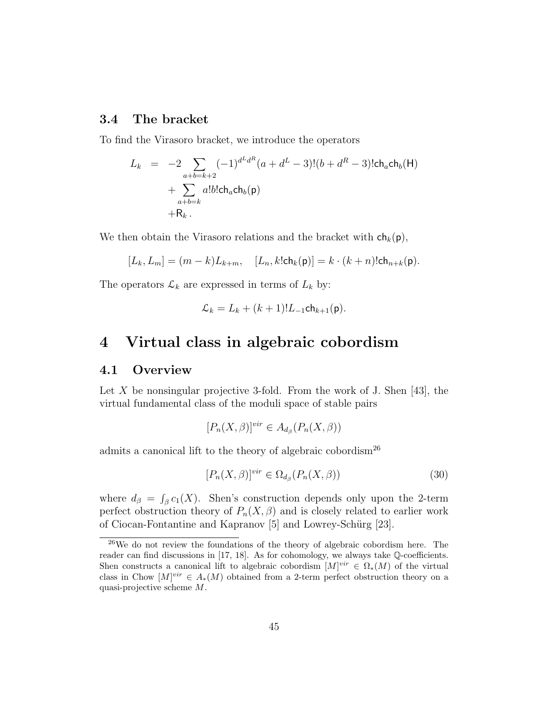### 3.4 The bracket

To find the Virasoro bracket, we introduce the operators

$$
L_k = -2 \sum_{\substack{a+b=k+2 \ a+b=k}} (-1)^{d^L d^R} (a + d^L - 3)!(b + d^R - 3)! \text{ch}_a \text{ch}_b(H) + \sum_{\substack{a+b=k \ a+b=k}} l! b! \text{ch}_a \text{ch}_b(p)
$$

We then obtain the Virasoro relations and the bracket with  $\mathsf{ch}_k(\mathsf{p}),$ 

$$
[L_k, L_m] = (m - k)L_{k+m}, \quad [L_n, k!ch_k(p)] = k \cdot (k + n)!ch_{n+k}(p).
$$

The operators  $\mathcal{L}_k$  are expressed in terms of  $L_k$  by:

$$
\mathcal{L}_k = L_k + (k+1)! L_{-1} \mathsf{ch}_{k+1}(\mathsf{p}).
$$

## 4 Virtual class in algebraic cobordism

### 4.1 Overview

Let X be nonsingular projective 3-fold. From the work of J. Shen [43], the virtual fundamental class of the moduli space of stable pairs

$$
[P_n(X,\beta)]^{vir} \in A_{d_\beta}(P_n(X,\beta))
$$

admits a canonical lift to the theory of algebraic cobordism<sup>26</sup>

$$
[P_n(X,\beta)]^{vir} \in \Omega_{d_{\beta}}(P_n(X,\beta))\tag{30}
$$

where  $d_{\beta} = \int_{\beta} c_1(X)$ . Shen's construction depends only upon the 2-term perfect obstruction theory of  $P_n(X, \beta)$  and is closely related to earlier work of Ciocan-Fontantine and Kapranov [5] and Lowrey-Schürg [23].

 $^{26}$ We do not review the foundations of the theory of algebraic cobordism here. The reader can find discussions in [17, 18]. As for cohomology, we always take Q-coefficients. Shen constructs a canonical lift to algebraic cobordism  $[M]^{vir} \in \Omega_*(M)$  of the virtual class in Chow  $[M]^{vir} \in A_*(M)$  obtained from a 2-term perfect obstruction theory on a quasi-projective scheme M.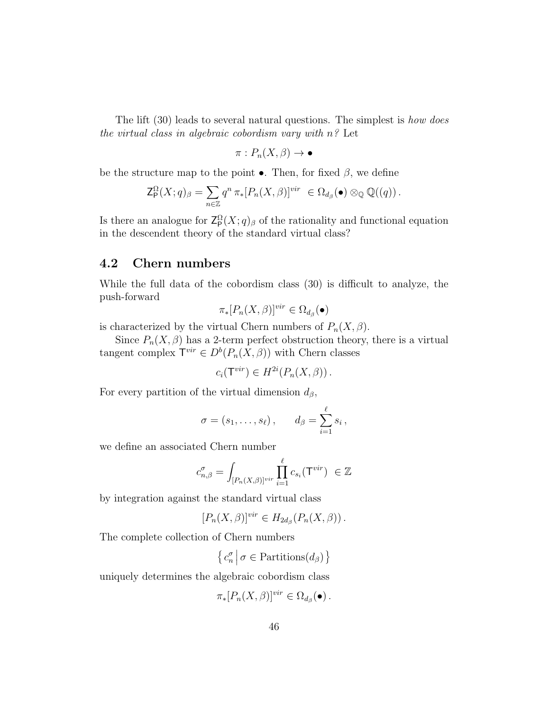The lift (30) leads to several natural questions. The simplest is *how does* the virtual class in algebraic cobordism vary with  $n^2$  Let

$$
\pi: P_n(X, \beta) \to \bullet
$$

be the structure map to the point  $\bullet$ . Then, for fixed  $\beta$ , we define

$$
\mathsf{Z}_{\mathsf{P}}^{\Omega}(X;q)_{\beta} = \sum_{n \in \mathbb{Z}} q^n \pi_* [P_n(X,\beta)]^{vir} \in \Omega_{d_{\beta}}(\bullet) \otimes_{\mathbb{Q}} \mathbb{Q}((q)).
$$

Is there an analogue for  $\mathsf{Z}_{\mathsf{P}}^{\Omega}(X; q)_{\beta}$  of the rationality and functional equation in the descendent theory of the standard virtual class?

### 4.2 Chern numbers

While the full data of the cobordism class (30) is difficult to analyze, the push-forward

$$
\pi_*[P_n(X,\beta)]^{vir} \in \Omega_{d_\beta}(\bullet)
$$

is characterized by the virtual Chern numbers of  $P_n(X, \beta)$ .

Since  $P_n(X, \beta)$  has a 2-term perfect obstruction theory, there is a virtual tangent complex  $\mathsf{T}^{vir} \in D^b(P_n(X, \beta))$  with Chern classes

$$
c_i(\mathsf{T}^{vir}) \in H^{2i}(P_n(X,\beta)).
$$

For every partition of the virtual dimension  $d_{\beta}$ ,

$$
\sigma = (s_1, \ldots, s_\ell) \, , \qquad d_\beta = \sum_{i=1}^\ell s_i \, ,
$$

we define an associated Chern number

$$
c_{n,\beta}^{\sigma}=\int_{[P_n(X,\beta)]^{vir}}\prod_{i=1}^{\ell}c_{s_i}(\mathsf{T}^{vir})\;\in\mathbb{Z}
$$

by integration against the standard virtual class

$$
[P_n(X,\beta)]^{vir} \in H_{2d_{\beta}}(P_n(X,\beta)).
$$

The complete collection of Chern numbers

 $\left\{ c_{n}^{\sigma}\Big|\sigma\in\text{Partitions}(d_{\beta})\right\}$ 

uniquely determines the algebraic cobordism class

$$
\pi_*[P_n(X,\beta)]^{vir} \in \Omega_{d_{\beta}}(\bullet).
$$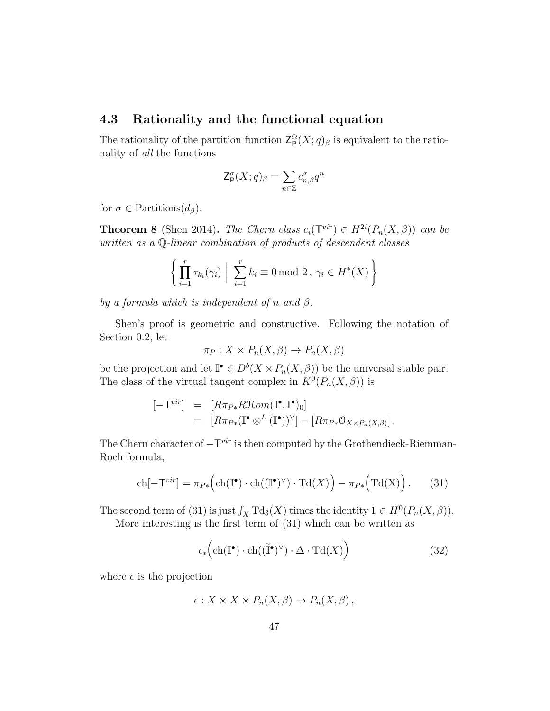#### 4.3 Rationality and the functional equation

The rationality of the partition function  $\mathsf{Z}_{\mathsf{P}}^{\Omega}(X; q)_{\beta}$  is equivalent to the rationality of all the functions

$$
\mathsf{Z}_\mathsf{P}^\sigma(X;q)_\beta = \sum_{n \in \mathbb{Z}} c_{n,\beta}^\sigma q^n
$$

for  $\sigma \in$  Partitions $(d_{\beta})$ .

**Theorem 8** (Shen 2014). The Chern class  $c_i(T^{vir}) \in H^{2i}(P_n(X,\beta))$  can be written as a Q-linear combination of products of descendent classes

$$
\left\{ \prod_{i=1}^r \tau_{k_i}(\gamma_i) \mid \sum_{i=1}^r k_i \equiv 0 \mod 2, \ \gamma_i \in H^*(X) \right\}
$$

by a formula which is independent of n and  $\beta$ .

Shen's proof is geometric and constructive. Following the notation of Section 0.2, let

$$
\pi_P: X \times P_n(X, \beta) \to P_n(X, \beta)
$$

be the projection and let  $\mathbb{I}^{\bullet} \in D^b(X \times P_n(X, \beta))$  be the universal stable pair. The class of the virtual tangent complex in  $K^0(P_n(X, \beta))$  is

$$
\begin{array}{rcl} [-\mathsf{T}^{vir}] & = & [R\pi_{P*}R\mathfrak{Hom}(\mathbb{I}^{\bullet}, \mathbb{I}^{\bullet})_{0}] \\ & = & [R\pi_{P*}(\mathbb{I}^{\bullet} \otimes^{L} (\mathbb{I}^{\bullet}))^{\vee}] - [R\pi_{P*}\mathfrak{O}_{X \times P_{n}(X,\beta)}]. \end{array}
$$

The Chern character of  $-\mathsf{T}^{vir}$  is then computed by the Grothendieck-Riemman-Roch formula,

$$
\operatorname{ch}[-\mathsf{T}^{vir}] = \pi_{P*}\Big(\operatorname{ch}(\mathbb{I}^{\bullet}) \cdot \operatorname{ch}((\mathbb{I}^{\bullet})^{\vee}) \cdot \operatorname{Td}(X)\Big) - \pi_{P*}\Big(\operatorname{Td}(X)\Big). \tag{31}
$$

The second term of (31) is just  $\int_X \text{Td}_3(X)$  times the identity  $1 \in H^0(P_n(X, \beta)).$ 

More interesting is the first term of (31) which can be written as

$$
\epsilon_* \Big( \mathrm{ch}(\mathbb{I}^\bullet) \cdot \mathrm{ch}((\widetilde{\mathbb{I}}^\bullet)^\vee) \cdot \Delta \cdot \mathrm{Td}(X) \Big) \tag{32}
$$

where  $\epsilon$  is the projection

$$
\epsilon: X \times X \times P_n(X, \beta) \to P_n(X, \beta),
$$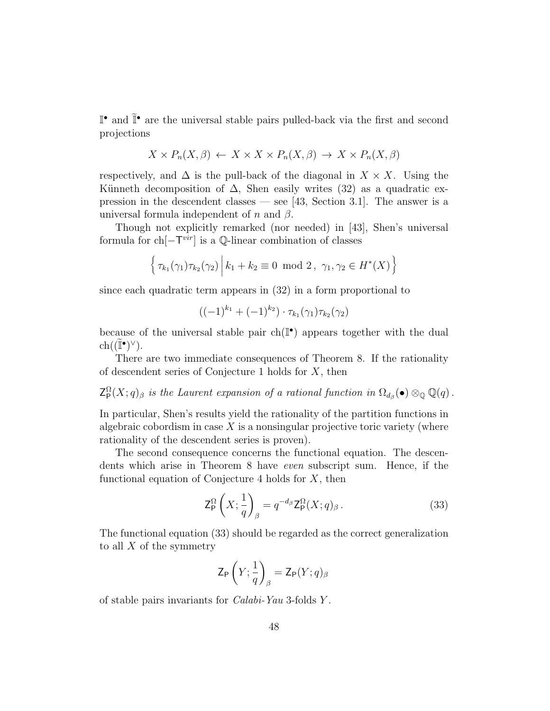$\mathbb{I}^{\bullet}$  and  $\widetilde{\mathbb{I}}^{\bullet}$  are the universal stable pairs pulled-back via the first and second projections

$$
X \times P_n(X, \beta) \leftarrow X \times X \times P_n(X, \beta) \rightarrow X \times P_n(X, \beta)
$$

respectively, and  $\Delta$  is the pull-back of the diagonal in  $X \times X$ . Using the Künneth decomposition of  $\Delta$ , Shen easily writes (32) as a quadratic expression in the descendent classes — see [43, Section 3.1]. The answer is a universal formula independent of n and  $\beta$ .

Though not explicitly remarked (nor needed) in [43], Shen's universal formula for  $\text{ch}[-\mathsf{T}^{vir}]$  is a  $\mathbb Q$ -linear combination of classes

$$
\left\{ \tau_{k_1}(\gamma_1)\tau_{k_2}(\gamma_2) \, \middle| \, k_1 + k_2 \equiv 0 \mod 2, \ \gamma_1, \gamma_2 \in H^*(X) \right\}
$$

since each quadratic term appears in (32) in a form proportional to

$$
((-1)^{k_1} + (-1)^{k_2}) \cdot \tau_{k_1}(\gamma_1)\tau_{k_2}(\gamma_2)
$$

because of the universal stable pair  $ch(\mathbb{I}^{\bullet})$  appears together with the dual  $ch((\widetilde{\mathbb{I}}^{\bullet})^{\vee}).$ 

There are two immediate consequences of Theorem 8. If the rationality of descendent series of Conjecture 1 holds for X, then

 $\mathsf{Z}_{\mathsf{P}}^{\Omega}(X;q)_{\beta}$  is the Laurent expansion of a rational function in  $\Omega_{d_{\beta}}(\bullet) \otimes_{\mathbb{Q}} \mathbb{Q}(q)$ .

In particular, Shen's results yield the rationality of the partition functions in algebraic cobordism in case  $X$  is a nonsingular projective toric variety (where rationality of the descendent series is proven).

The second consequence concerns the functional equation. The descendents which arise in Theorem 8 have even subscript sum. Hence, if the functional equation of Conjecture 4 holds for  $X$ , then

$$
\mathsf{Z}_{\mathsf{P}}^{\Omega}\left(X;\frac{1}{q}\right)_{\beta} = q^{-d_{\beta}} \mathsf{Z}_{\mathsf{P}}^{\Omega}(X;q)_{\beta}.
$$
 (33)

The functional equation (33) should be regarded as the correct generalization to all  $X$  of the symmetry

$$
\mathsf{Z}_{\mathsf{P}}\left(Y;\frac{1}{q}\right)_{\beta} = \mathsf{Z}_{\mathsf{P}}(Y;q)_{\beta}
$$

of stable pairs invariants for Calabi-Yau 3-folds Y .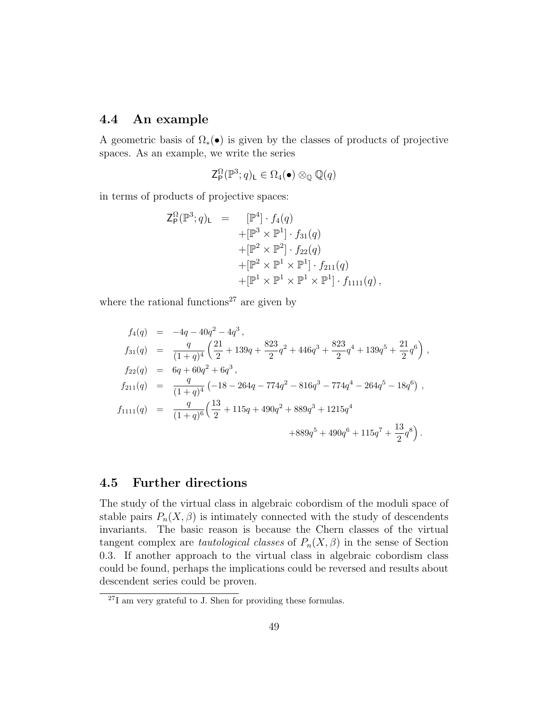### 4.4 An example

A geometric basis of  $\Omega_*(\bullet)$  is given by the classes of products of projective spaces. As an example, we write the series

$$
\mathsf{Z}_{\mathsf{P}}^{\Omega}(\mathbb{P}^3;q)_{\mathsf{L}}\in\Omega_4(\bullet)\otimes_{\mathbb{Q}}\mathbb{Q}(q)
$$

in terms of products of projective spaces:

$$
Z_{P}^{\Omega}(\mathbb{P}^{3}; q)_{L} = [\mathbb{P}^{4}] \cdot f_{4}(q)
$$
  
 
$$
+ [\mathbb{P}^{3} \times \mathbb{P}^{1}] \cdot f_{31}(q)
$$
  
 
$$
+ [\mathbb{P}^{2} \times \mathbb{P}^{2}] \cdot f_{22}(q)
$$
  
 
$$
+ [\mathbb{P}^{2} \times \mathbb{P}^{1} \times \mathbb{P}^{1}] \cdot f_{211}(q)
$$
  
 
$$
+ [\mathbb{P}^{1} \times \mathbb{P}^{1} \times \mathbb{P}^{1} \times \mathbb{P}^{1}] \cdot f_{1111}(q),
$$

where the rational functions<sup>27</sup> are given by

$$
f_4(q) = -4q - 40q^2 - 4q^3,
$$
  
\n
$$
f_{31}(q) = \frac{q}{(1+q)^4} \left( \frac{21}{2} + 139q + \frac{823}{2}q^2 + 446q^3 + \frac{823}{2}q^4 + 139q^5 + \frac{21}{2}q^6 \right),
$$
  
\n
$$
f_{22}(q) = 6q + 60q^2 + 6q^3,
$$
  
\n
$$
f_{211}(q) = \frac{q}{(1+q)^4} \left( -18 - 264q - 774q^2 - 816q^3 - 774q^4 - 264q^5 - 18q^6 \right),
$$
  
\n
$$
f_{1111}(q) = \frac{q}{(1+q)^6} \left( \frac{13}{2} + 115q + 490q^2 + 889q^3 + 1215q^4 + 889q^5 + 490q^6 + 115q^7 + \frac{13}{2}q^8 \right).
$$

### 4.5 Further directions

The study of the virtual class in algebraic cobordism of the moduli space of stable pairs  $P_n(X, \beta)$  is intimately connected with the study of descendents invariants. The basic reason is because the Chern classes of the virtual tangent complex are *tautological classes* of  $P_n(X, \beta)$  in the sense of Section 0.3. If another approach to the virtual class in algebraic cobordism class could be found, perhaps the implications could be reversed and results about descendent series could be proven.

<sup>27</sup>I am very grateful to J. Shen for providing these formulas.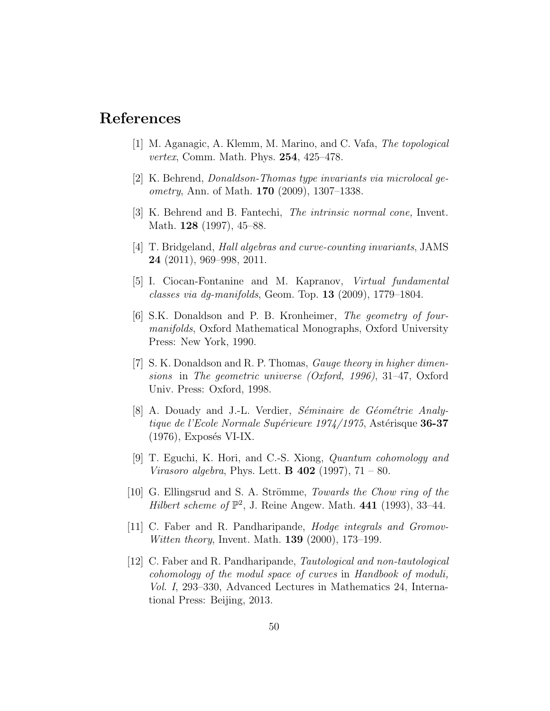## References

- [1] M. Aganagic, A. Klemm, M. Marino, and C. Vafa, The topological vertex, Comm. Math. Phys. 254, 425–478.
- [2] K. Behrend, Donaldson-Thomas type invariants via microlocal geometry, Ann. of Math. **170** (2009), 1307–1338.
- [3] K. Behrend and B. Fantechi, The intrinsic normal cone, Invent. Math. **128** (1997), 45–88.
- [4] T. Bridgeland, Hall algebras and curve-counting invariants, JAMS 24 (2011), 969–998, 2011.
- [5] I. Ciocan-Fontanine and M. Kapranov, Virtual fundamental classes via dg-manifolds, Geom. Top. 13 (2009), 1779–1804.
- [6] S.K. Donaldson and P. B. Kronheimer, The geometry of fourmanifolds, Oxford Mathematical Monographs, Oxford University Press: New York, 1990.
- [7] S. K. Donaldson and R. P. Thomas, Gauge theory in higher dimensions in The geometric universe (Oxford, 1996), 31–47, Oxford Univ. Press: Oxford, 1998.
- [8] A. Douady and J.-L. Verdier, *Séminaire de Géométrie Analy*tique de l'Ecole Normale Supérieure 1974/1975, Astérisque 36-37  $(1976)$ , Exposés VI-IX.
- [9] T. Eguchi, K. Hori, and C.-S. Xiong, Quantum cohomology and *Virasoro algebra*, Phys. Lett. **B** 402 (1997),  $71 - 80$ .
- [10] G. Ellingsrud and S. A. Strömme, *Towards the Chow ring of the* Hilbert scheme of  $\mathbb{P}^2$ , J. Reine Angew. Math. 441 (1993), 33-44.
- [11] C. Faber and R. Pandharipande, Hodge integrals and Gromov-Witten theory, Invent. Math. **139** (2000), 173–199.
- [12] C. Faber and R. Pandharipande, Tautological and non-tautological cohomology of the modul space of curves in Handbook of moduli, Vol. I, 293–330, Advanced Lectures in Mathematics 24, International Press: Beijing, 2013.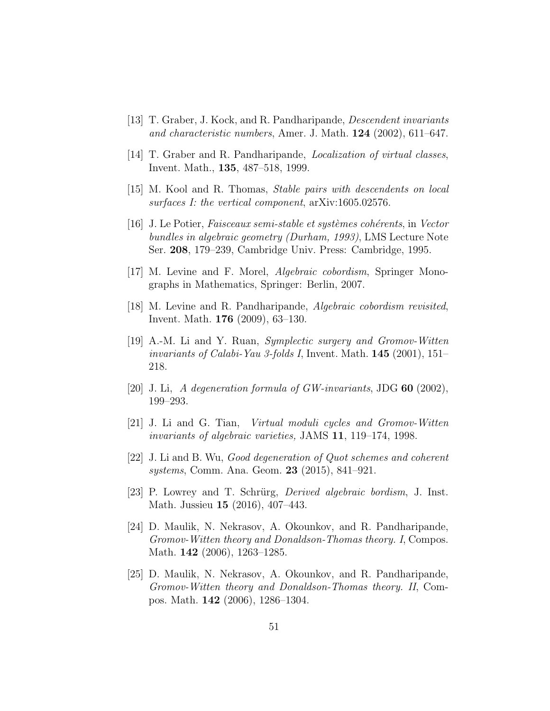- [13] T. Graber, J. Kock, and R. Pandharipande, Descendent invariants and characteristic numbers, Amer. J. Math.  $124$  (2002), 611–647.
- [14] T. Graber and R. Pandharipande, Localization of virtual classes, Invent. Math., 135, 487–518, 1999.
- [15] M. Kool and R. Thomas, Stable pairs with descendents on local surfaces I: the vertical component, arXiv:1605.02576.
- [16] J. Le Potier, *Faisceaux semi-stable et systèmes cohérents*, in *Vector* bundles in algebraic geometry (Durham, 1993), LMS Lecture Note Ser. 208, 179–239, Cambridge Univ. Press: Cambridge, 1995.
- [17] M. Levine and F. Morel, Algebraic cobordism, Springer Monographs in Mathematics, Springer: Berlin, 2007.
- [18] M. Levine and R. Pandharipande, Algebraic cobordism revisited, Invent. Math. 176 (2009), 63–130.
- [19] A.-M. Li and Y. Ruan, Symplectic surgery and Gromov-Witten invariants of Calabi-Yau 3-folds I, Invent. Math.  $145$  (2001), 151– 218.
- [20] J. Li, A degeneration formula of  $GW-invariants$ , JDG 60 (2002), 199–293.
- [21] J. Li and G. Tian, Virtual moduli cycles and Gromov-Witten invariants of algebraic varieties, JAMS 11, 119–174, 1998.
- [22] J. Li and B. Wu, Good degeneration of Quot schemes and coherent systems, Comm. Ana. Geom. 23 (2015), 841–921.
- [23] P. Lowrey and T. Schrürg, *Derived algebraic bordism*, J. Inst. Math. Jussieu 15 (2016), 407–443.
- [24] D. Maulik, N. Nekrasov, A. Okounkov, and R. Pandharipande, Gromov-Witten theory and Donaldson-Thomas theory. I, Compos. Math. 142 (2006), 1263–1285.
- [25] D. Maulik, N. Nekrasov, A. Okounkov, and R. Pandharipande, Gromov-Witten theory and Donaldson-Thomas theory. II, Compos. Math. 142 (2006), 1286–1304.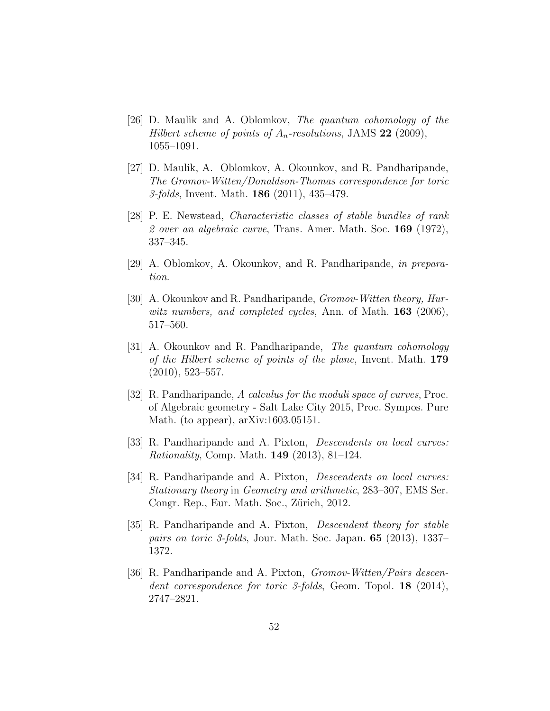- [26] D. Maulik and A. Oblomkov, The quantum cohomology of the Hilbert scheme of points of  $A_n$ -resolutions, JAMS 22 (2009), 1055–1091.
- [27] D. Maulik, A. Oblomkov, A. Okounkov, and R. Pandharipande, The Gromov-Witten/Donaldson-Thomas correspondence for toric 3-folds, Invent. Math. 186 (2011), 435–479.
- [28] P. E. Newstead, Characteristic classes of stable bundles of rank 2 over an algebraic curve, Trans. Amer. Math. Soc. 169 (1972), 337–345.
- [29] A. Oblomkov, A. Okounkov, and R. Pandharipande, in preparation.
- [30] A. Okounkov and R. Pandharipande, *Gromov-Witten theory*, *Hur*witz numbers, and completed cycles, Ann. of Math. **163** (2006), 517–560.
- [31] A. Okounkov and R. Pandharipande, The quantum cohomology of the Hilbert scheme of points of the plane, Invent. Math. 179 (2010), 523–557.
- [32] R. Pandharipande, A calculus for the moduli space of curves, Proc. of Algebraic geometry - Salt Lake City 2015, Proc. Sympos. Pure Math. (to appear), arXiv:1603.05151.
- [33] R. Pandharipande and A. Pixton, Descendents on local curves: Rationality, Comp. Math. 149 (2013), 81–124.
- [34] R. Pandharipande and A. Pixton, *Descendents on local curves:* Stationary theory in Geometry and arithmetic, 283–307, EMS Ser. Congr. Rep., Eur. Math. Soc., Zürich, 2012.
- [35] R. Pandharipande and A. Pixton, *Descendent theory for stable* pairs on toric 3-folds, Jour. Math. Soc. Japan. 65 (2013), 1337– 1372.
- [36] R. Pandharipande and A. Pixton, *Gromov-Witten/Pairs descen*dent correspondence for toric 3-folds, Geom. Topol. **18** (2014), 2747–2821.